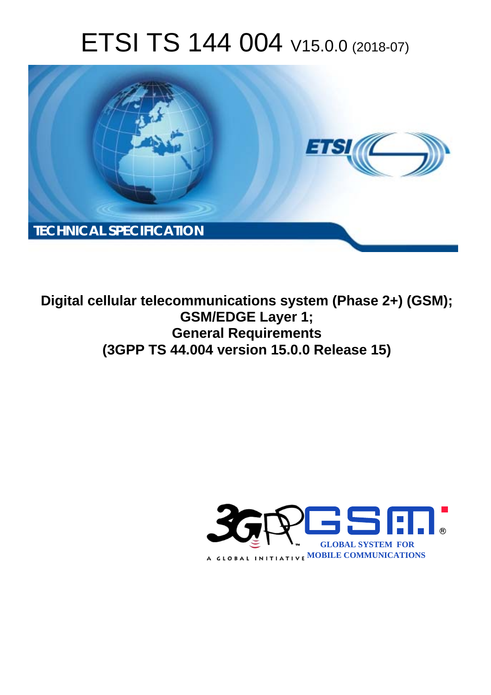# ETSI TS 144 004 V15.0.0 (2018-07)



**Digital cellular telecommunications system (Phase 2+) (GSM); GSM/EDGE Layer 1; General Requirements (3GPP TS 44.004 version 15.0.0 Release 15)** 

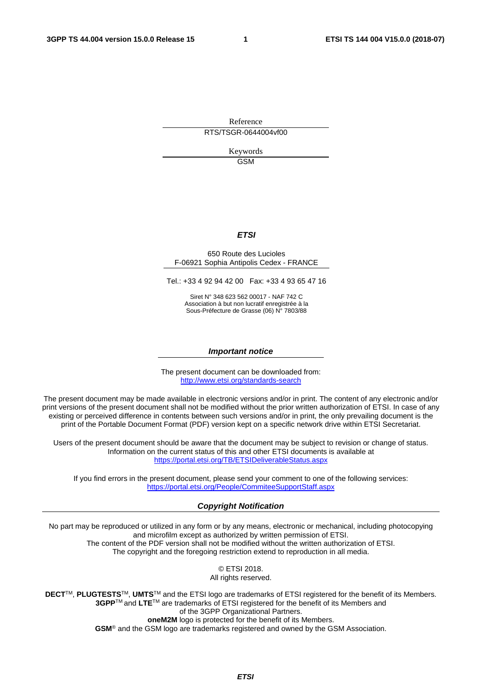Reference RTS/TSGR-0644004vf00

> Keywords GSM

#### *ETSI*

#### 650 Route des Lucioles F-06921 Sophia Antipolis Cedex - FRANCE

Tel.: +33 4 92 94 42 00 Fax: +33 4 93 65 47 16

Siret N° 348 623 562 00017 - NAF 742 C Association à but non lucratif enregistrée à la Sous-Préfecture de Grasse (06) N° 7803/88

#### *Important notice*

The present document can be downloaded from: <http://www.etsi.org/standards-search>

The present document may be made available in electronic versions and/or in print. The content of any electronic and/or print versions of the present document shall not be modified without the prior written authorization of ETSI. In case of any existing or perceived difference in contents between such versions and/or in print, the only prevailing document is the print of the Portable Document Format (PDF) version kept on a specific network drive within ETSI Secretariat.

Users of the present document should be aware that the document may be subject to revision or change of status. Information on the current status of this and other ETSI documents is available at <https://portal.etsi.org/TB/ETSIDeliverableStatus.aspx>

If you find errors in the present document, please send your comment to one of the following services: <https://portal.etsi.org/People/CommiteeSupportStaff.aspx>

#### *Copyright Notification*

No part may be reproduced or utilized in any form or by any means, electronic or mechanical, including photocopying and microfilm except as authorized by written permission of ETSI. The content of the PDF version shall not be modified without the written authorization of ETSI. The copyright and the foregoing restriction extend to reproduction in all media.

> © ETSI 2018. All rights reserved.

**DECT**TM, **PLUGTESTS**TM, **UMTS**TM and the ETSI logo are trademarks of ETSI registered for the benefit of its Members. **3GPP**TM and **LTE**TM are trademarks of ETSI registered for the benefit of its Members and of the 3GPP Organizational Partners. **oneM2M** logo is protected for the benefit of its Members.

**GSM**® and the GSM logo are trademarks registered and owned by the GSM Association.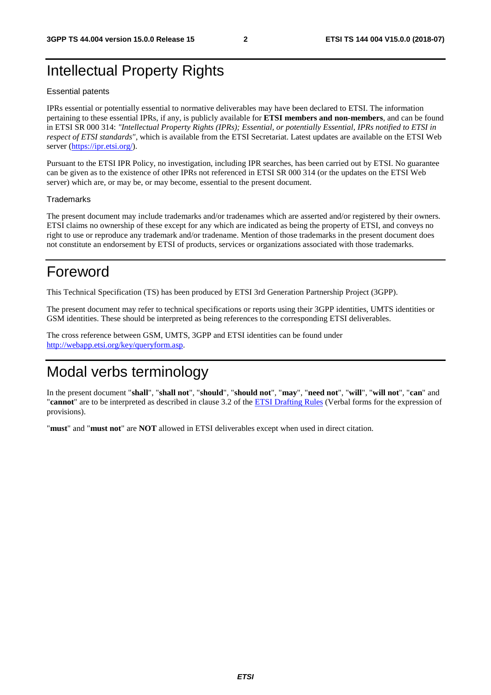## Intellectual Property Rights

#### Essential patents

IPRs essential or potentially essential to normative deliverables may have been declared to ETSI. The information pertaining to these essential IPRs, if any, is publicly available for **ETSI members and non-members**, and can be found in ETSI SR 000 314: *"Intellectual Property Rights (IPRs); Essential, or potentially Essential, IPRs notified to ETSI in respect of ETSI standards"*, which is available from the ETSI Secretariat. Latest updates are available on the ETSI Web server ([https://ipr.etsi.org/\)](https://ipr.etsi.org/).

Pursuant to the ETSI IPR Policy, no investigation, including IPR searches, has been carried out by ETSI. No guarantee can be given as to the existence of other IPRs not referenced in ETSI SR 000 314 (or the updates on the ETSI Web server) which are, or may be, or may become, essential to the present document.

#### **Trademarks**

The present document may include trademarks and/or tradenames which are asserted and/or registered by their owners. ETSI claims no ownership of these except for any which are indicated as being the property of ETSI, and conveys no right to use or reproduce any trademark and/or tradename. Mention of those trademarks in the present document does not constitute an endorsement by ETSI of products, services or organizations associated with those trademarks.

## Foreword

This Technical Specification (TS) has been produced by ETSI 3rd Generation Partnership Project (3GPP).

The present document may refer to technical specifications or reports using their 3GPP identities, UMTS identities or GSM identities. These should be interpreted as being references to the corresponding ETSI deliverables.

The cross reference between GSM, UMTS, 3GPP and ETSI identities can be found under [http://webapp.etsi.org/key/queryform.asp.](http://webapp.etsi.org/key/queryform.asp)

## Modal verbs terminology

In the present document "**shall**", "**shall not**", "**should**", "**should not**", "**may**", "**need not**", "**will**", "**will not**", "**can**" and "**cannot**" are to be interpreted as described in clause 3.2 of the [ETSI Drafting Rules](https://portal.etsi.org/Services/editHelp!/Howtostart/ETSIDraftingRules.aspx) (Verbal forms for the expression of provisions).

"**must**" and "**must not**" are **NOT** allowed in ETSI deliverables except when used in direct citation.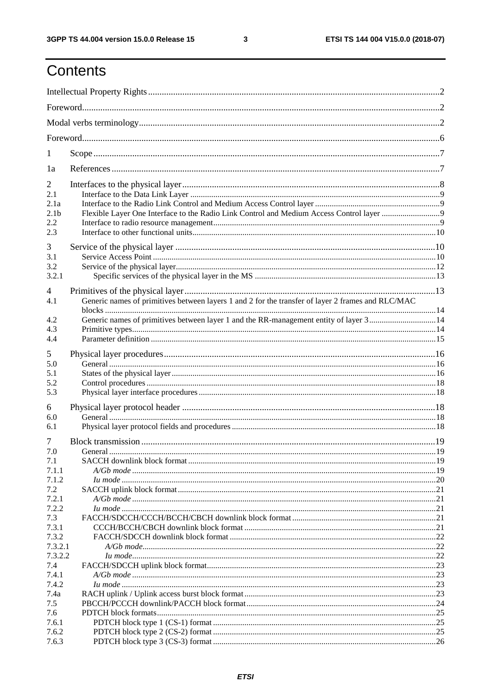$\mathbf{3}$ 

# Contents

| 1                                                               |                                                                                                                                                                                            |  |
|-----------------------------------------------------------------|--------------------------------------------------------------------------------------------------------------------------------------------------------------------------------------------|--|
| 1a                                                              |                                                                                                                                                                                            |  |
| $\overline{2}$<br>2.1<br>2.1a<br>2.1 <sub>b</sub><br>2.2<br>2.3 |                                                                                                                                                                                            |  |
| 3<br>3.1<br>3.2<br>3.2.1                                        |                                                                                                                                                                                            |  |
| 4<br>4.1<br>4.2<br>4.3<br>4.4                                   | Generic names of primitives between layers 1 and 2 for the transfer of layer 2 frames and RLC/MAC<br>Generic names of primitives between layer 1 and the RR-management entity of layer 314 |  |
| 5<br>5.0<br>5.1<br>5.2<br>5.3                                   |                                                                                                                                                                                            |  |
| 6<br>6.0<br>6.1                                                 |                                                                                                                                                                                            |  |
| 7<br>7.0<br>7.1<br>7.1.1<br>7.1.2                               |                                                                                                                                                                                            |  |
| 7.2<br>7.2.1<br>7.2.2<br>7.3                                    |                                                                                                                                                                                            |  |
| 7.3.1<br>7.3.2<br>7.3.2.1<br>7.3.2.2                            |                                                                                                                                                                                            |  |
| 7.4<br>7.4.1<br>7.4.2<br>7.4a                                   |                                                                                                                                                                                            |  |
| 7.5<br>7.6<br>7.6.1<br>7.6.2                                    |                                                                                                                                                                                            |  |
| 7.6.3                                                           |                                                                                                                                                                                            |  |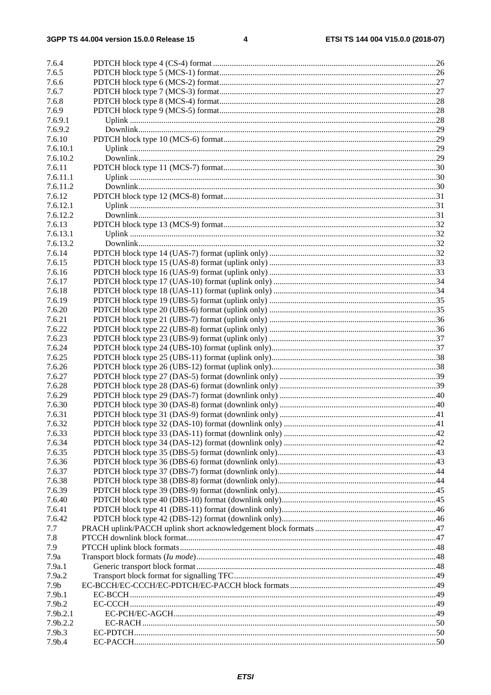| 7.6.4              |  |
|--------------------|--|
| 7.6.5              |  |
| 7.6.6              |  |
| 7.6.7              |  |
| 7.6.8              |  |
| 7.6.9              |  |
| 7.6.9.1            |  |
| 7.6.9.2            |  |
| 7.6.10             |  |
| 7.6.10.1           |  |
| 7.6.10.2           |  |
| 7.6.11             |  |
| 7.6.11.1           |  |
| 7.6.11.2           |  |
| 7.6.12             |  |
| 7.6.12.1           |  |
| 7.6.12.2           |  |
| 7.6.13             |  |
| 7.6.13.1           |  |
| 7.6.13.2           |  |
| 7.6.14             |  |
| 7.6.15             |  |
| 7.6.16             |  |
| 7.6.17             |  |
| 7.6.18             |  |
| 7.6.19             |  |
| 7.6.20             |  |
| 7.6.21             |  |
| 7.6.22             |  |
| 7.6.23             |  |
| 7.6.24             |  |
| 7.6.25             |  |
| 7.6.26             |  |
| 7.6.27             |  |
| 7.6.28             |  |
| 7.6.29             |  |
| 7.6.30             |  |
| 7.6.31             |  |
| 7.6.32             |  |
| 7.6.33             |  |
| 7.6.34             |  |
| 7.6.35             |  |
| 7.6.36             |  |
| 7.6.37             |  |
| 7.6.38             |  |
| 7.6.39             |  |
| 7.6.40             |  |
| 7.6.41             |  |
| 7.6.42             |  |
| 7.7                |  |
| 7.8                |  |
| 7.9                |  |
| 7.9a               |  |
| 7.9a.1             |  |
| 7.9a.2             |  |
| 7.9 <sub>b</sub>   |  |
| 7.9 <sub>b.1</sub> |  |
| 7.9b.2<br>7.9b.2.1 |  |
| 7.9b.2.2           |  |
| 7.9b.3             |  |
| 7.9b.4             |  |
|                    |  |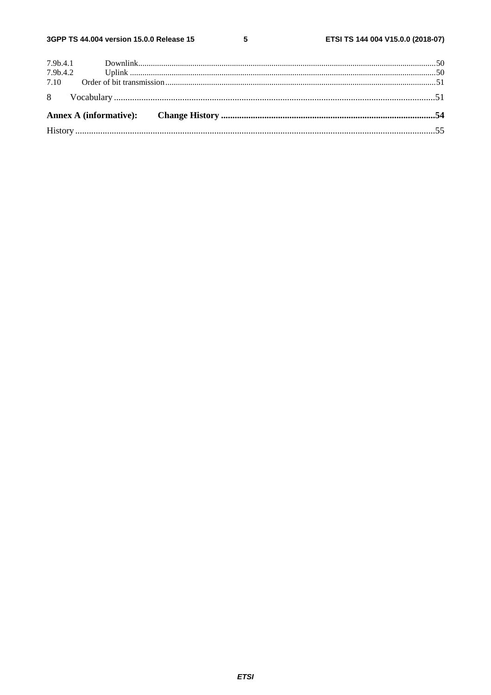$5\phantom{a}$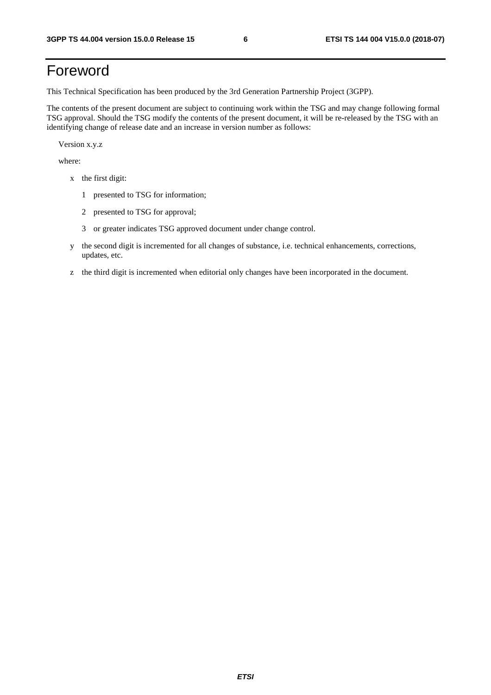## Foreword

This Technical Specification has been produced by the 3rd Generation Partnership Project (3GPP).

The contents of the present document are subject to continuing work within the TSG and may change following formal TSG approval. Should the TSG modify the contents of the present document, it will be re-released by the TSG with an identifying change of release date and an increase in version number as follows:

Version x.y.z

where:

- x the first digit:
	- 1 presented to TSG for information;
	- 2 presented to TSG for approval;
	- 3 or greater indicates TSG approved document under change control.
- y the second digit is incremented for all changes of substance, i.e. technical enhancements, corrections, updates, etc.
- z the third digit is incremented when editorial only changes have been incorporated in the document.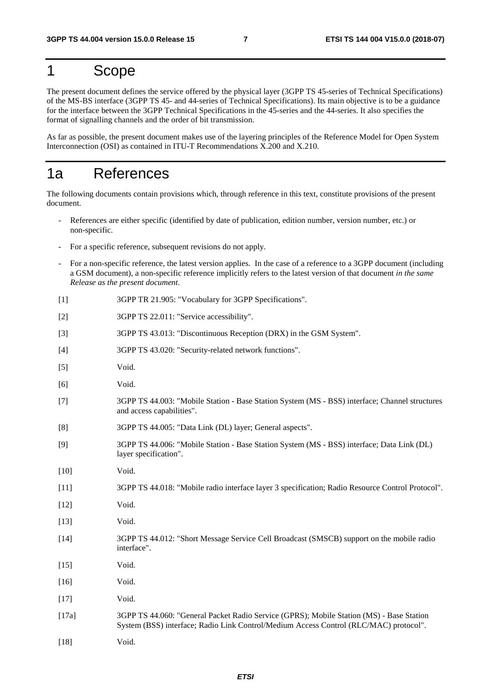## 1 Scope

The present document defines the service offered by the physical layer (3GPP TS 45-series of Technical Specifications) of the MS-BS interface (3GPP TS 45- and 44-series of Technical Specifications). Its main objective is to be a guidance for the interface between the 3GPP Technical Specifications in the 45-series and the 44-series. It also specifies the format of signalling channels and the order of bit transmission.

As far as possible, the present document makes use of the layering principles of the Reference Model for Open System Interconnection (OSI) as contained in ITU-T Recommendations X.200 and X.210.

### 1a References

The following documents contain provisions which, through reference in this text, constitute provisions of the present document.

- References are either specific (identified by date of publication, edition number, version number, etc.) or non-specific.
- For a specific reference, subsequent revisions do not apply.
- For a non-specific reference, the latest version applies. In the case of a reference to a 3GPP document (including a GSM document), a non-specific reference implicitly refers to the latest version of that document *in the same Release as the present document*.
- [1] 3GPP TR 21.905: "Vocabulary for 3GPP Specifications".
- [2] 3GPP TS 22.011: "Service accessibility".
- [3] 3GPP TS 43.013: "Discontinuous Reception (DRX) in the GSM System".
- [4] 3GPP TS 43.020: "Security-related network functions".
- [5] Void.
- [6] Void.
- [7] 3GPP TS 44.003: "Mobile Station Base Station System (MS BSS) interface; Channel structures and access capabilities".
- [8] 3GPP TS 44.005: "Data Link (DL) layer; General aspects".
- [9] 3GPP TS 44.006: "Mobile Station Base Station System (MS BSS) interface; Data Link (DL) layer specification".
- [10] **Void.**
- [11] 3GPP TS 44.018: "Mobile radio interface layer 3 specification; Radio Resource Control Protocol".
- [12] Void.
- [13] Void.
- [14] 3GPP TS 44.012: "Short Message Service Cell Broadcast (SMSCB) support on the mobile radio interface".
- [15] Void.
- [16] Void.
- [17] Void.
- [17a] 3GPP TS 44.060: "General Packet Radio Service (GPRS); Mobile Station (MS) Base Station System (BSS) interface; Radio Link Control/Medium Access Control (RLC/MAC) protocol".
- [18] Void.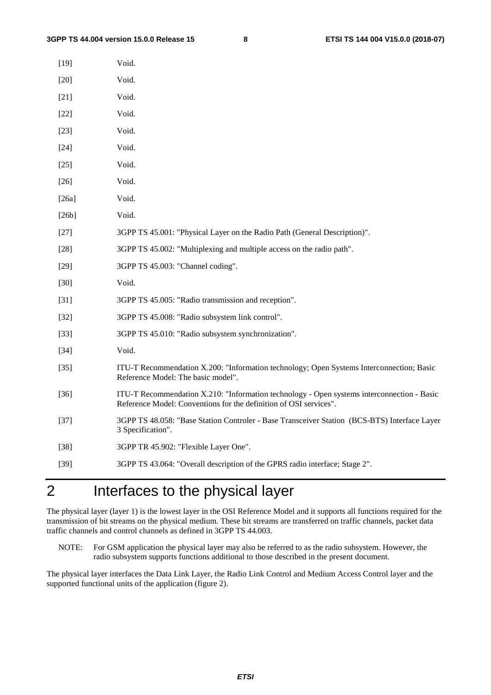| $[19]$ | Void.                                                                                                                                                           |
|--------|-----------------------------------------------------------------------------------------------------------------------------------------------------------------|
| $[20]$ | Void.                                                                                                                                                           |
| $[21]$ | Void.                                                                                                                                                           |
| $[22]$ | Void.                                                                                                                                                           |
| $[23]$ | Void.                                                                                                                                                           |
| $[24]$ | Void.                                                                                                                                                           |
| $[25]$ | Void.                                                                                                                                                           |
| $[26]$ | Void.                                                                                                                                                           |
| [26a]  | Void.                                                                                                                                                           |
| [26b]  | Void.                                                                                                                                                           |
| $[27]$ | 3GPP TS 45.001: "Physical Layer on the Radio Path (General Description)".                                                                                       |
| $[28]$ | 3GPP TS 45.002: "Multiplexing and multiple access on the radio path".                                                                                           |
| $[29]$ | 3GPP TS 45.003: "Channel coding".                                                                                                                               |
| $[30]$ | Void.                                                                                                                                                           |
| $[31]$ | 3GPP TS 45.005: "Radio transmission and reception".                                                                                                             |
| $[32]$ | 3GPP TS 45.008: "Radio subsystem link control".                                                                                                                 |
| $[33]$ | 3GPP TS 45.010: "Radio subsystem synchronization".                                                                                                              |
| $[34]$ | Void.                                                                                                                                                           |
| $[35]$ | ITU-T Recommendation X.200: "Information technology; Open Systems Interconnection; Basic<br>Reference Model: The basic model".                                  |
| $[36]$ | ITU-T Recommendation X.210: "Information technology - Open systems interconnection - Basic<br>Reference Model: Conventions for the definition of OSI services". |
| $[37]$ | 3GPP TS 48.058: "Base Station Controler - Base Transceiver Station (BCS-BTS) Interface Layer<br>3 Specification".                                               |
| $[38]$ | 3GPP TR 45.902: "Flexible Layer One".                                                                                                                           |
| $[39]$ | 3GPP TS 43.064: "Overall description of the GPRS radio interface; Stage 2".                                                                                     |
|        |                                                                                                                                                                 |

# 2 Interfaces to the physical layer

The physical layer (layer 1) is the lowest layer in the OSI Reference Model and it supports all functions required for the transmission of bit streams on the physical medium. These bit streams are transferred on traffic channels, packet data traffic channels and control channels as defined in 3GPP TS 44.003.

NOTE: For GSM application the physical layer may also be referred to as the radio subsystem. However, the radio subsystem supports functions additional to those described in the present document.

The physical layer interfaces the Data Link Layer, the Radio Link Control and Medium Access Control layer and the supported functional units of the application (figure 2).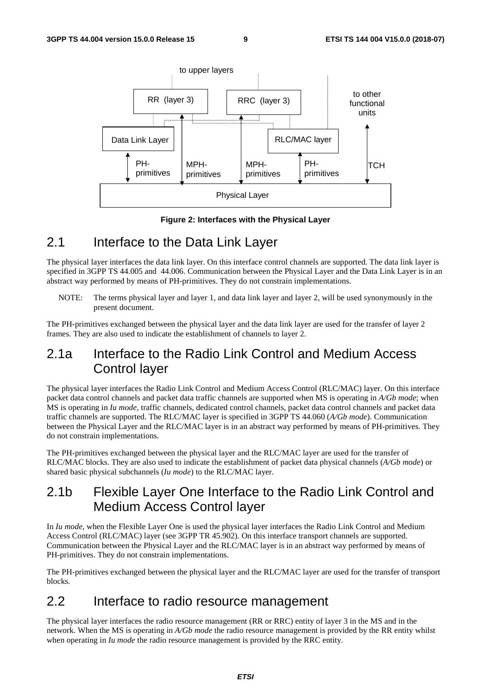

**Figure 2: Interfaces with the Physical Layer** 

### 2.1 Interface to the Data Link Layer

The physical layer interfaces the data link layer. On this interface control channels are supported. The data link layer is specified in 3GPP TS 44.005 and 44.006. Communication between the Physical Layer and the Data Link Layer is in an abstract way performed by means of PH-primitives. They do not constrain implementations.

NOTE: The terms physical layer and layer 1, and data link layer and layer 2, will be used synonymously in the present document.

The PH-primitives exchanged between the physical layer and the data link layer are used for the transfer of layer 2 frames. They are also used to indicate the establishment of channels to layer 2.

### 2.1a Interface to the Radio Link Control and Medium Access Control layer

The physical layer interfaces the Radio Link Control and Medium Access Control (RLC/MAC) layer. On this interface packet data control channels and packet data traffic channels are supported when MS is operating in *A/Gb mode*; when MS is operating in *Iu mode*, traffic channels, dedicated control channels, packet data control channels and packet data traffic channels are supported. The RLC/MAC layer is specified in 3GPP TS 44.060 (*A/Gb mode*). Communication between the Physical Layer and the RLC/MAC layer is in an abstract way performed by means of PH-primitives. They do not constrain implementations.

The PH-primitives exchanged between the physical layer and the RLC/MAC layer are used for the transfer of RLC/MAC blocks. They are also used to indicate the establishment of packet data physical channels (*A/Gb mode*) or shared basic physical subchannels (*Iu mode*) to the RLC/MAC layer.

### 2.1b Flexible Layer One Interface to the Radio Link Control and Medium Access Control layer

In *Iu mode*, when the Flexible Layer One is used the physical layer interfaces the Radio Link Control and Medium Access Control (RLC/MAC) layer (see 3GPP TR 45.902). On this interface transport channels are supported. Communication between the Physical Layer and the RLC/MAC layer is in an abstract way performed by means of PH-primitives. They do not constrain implementations.

The PH-primitives exchanged between the physical layer and the RLC/MAC layer are used for the transfer of transport blocks.

### 2.2 Interface to radio resource management

The physical layer interfaces the radio resource management (RR or RRC) entity of layer 3 in the MS and in the network. When the MS is operating in *A/Gb mode* the radio resource management is provided by the RR entity whilst when operating in *Iu mode* the radio resource management is provided by the RRC entity.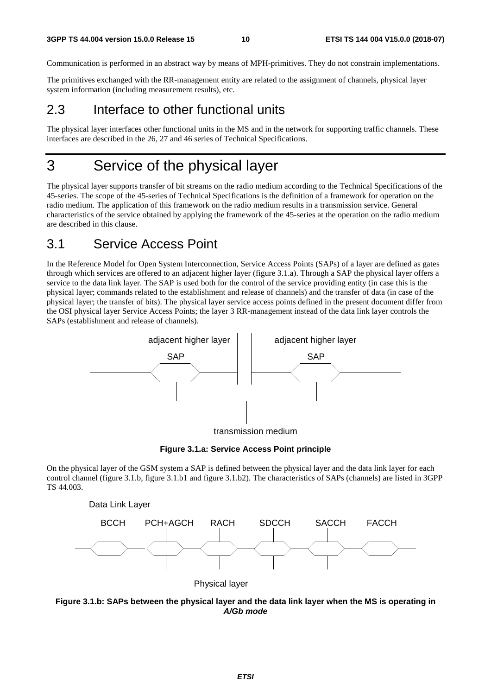Communication is performed in an abstract way by means of MPH-primitives. They do not constrain implementations.

The primitives exchanged with the RR-management entity are related to the assignment of channels, physical layer system information (including measurement results), etc.

### 2.3 Interface to other functional units

The physical layer interfaces other functional units in the MS and in the network for supporting traffic channels. These interfaces are described in the 26, 27 and 46 series of Technical Specifications.

## 3 Service of the physical layer

The physical layer supports transfer of bit streams on the radio medium according to the Technical Specifications of the 45-series. The scope of the 45-series of Technical Specifications is the definition of a framework for operation on the radio medium. The application of this framework on the radio medium results in a transmission service. General characteristics of the service obtained by applying the framework of the 45-series at the operation on the radio medium are described in this clause.

### 3.1 Service Access Point

In the Reference Model for Open System Interconnection, Service Access Points (SAPs) of a layer are defined as gates through which services are offered to an adjacent higher layer (figure 3.1.a). Through a SAP the physical layer offers a service to the data link layer. The SAP is used both for the control of the service providing entity (in case this is the physical layer; commands related to the establishment and release of channels) and the transfer of data (in case of the physical layer; the transfer of bits). The physical layer service access points defined in the present document differ from the OSI physical layer Service Access Points; the layer 3 RR-management instead of the data link layer controls the SAPs (establishment and release of channels).



**Figure 3.1.a: Service Access Point principle** 

On the physical layer of the GSM system a SAP is defined between the physical layer and the data link layer for each control channel (figure 3.1.b, figure 3.1.b1 and figure 3.1.b2). The characteristics of SAPs (channels) are listed in 3GPP TS 44.003.



Physical layer

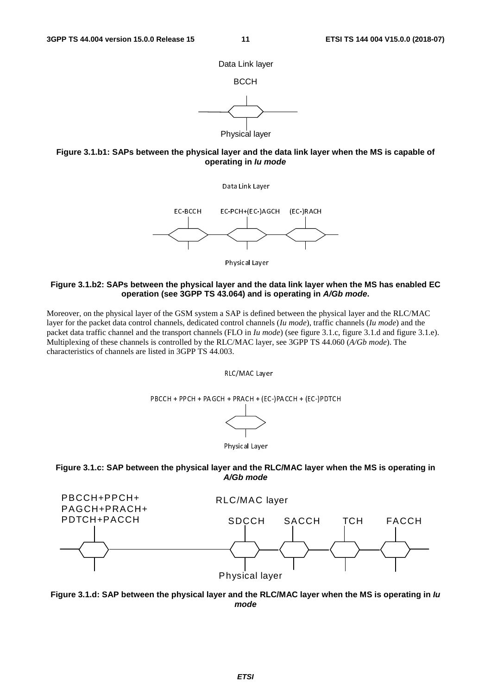

Physical layer



Data Link Layer



Physical Layer

#### **Figure 3.1.b2: SAPs between the physical layer and the data link layer when the MS has enabled EC operation (see 3GPP TS 43.064) and is operating in** *A/Gb mode***.**

Moreover, on the physical layer of the GSM system a SAP is defined between the physical layer and the RLC/MAC layer for the packet data control channels, dedicated control channels (*Iu mode*), traffic channels (*Iu mode*) and the packet data traffic channel and the transport channels (FLO in *Iu mode*) (see figure 3.1.c, figure 3.1.d and figure 3.1.e). Multiplexing of these channels is controlled by the RLC/MAC layer, see 3GPP TS 44.060 (*A/Gb mode*). The characteristics of channels are listed in 3GPP TS 44.003.







#### **Figure 3.1.c: SAP between the physical layer and the RLC/MAC layer when the MS is operating in**  *A/Gb mode*



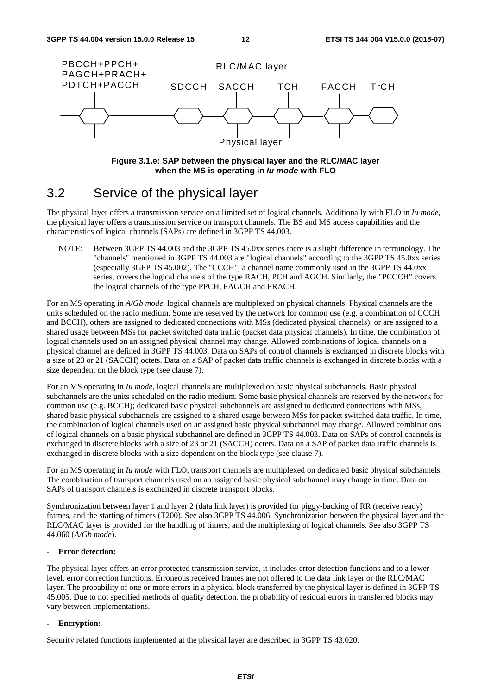

**Figure 3.1.e: SAP between the physical layer and the RLC/MAC layer when the MS is operating in** *Iu mode* **with FLO** 

### 3.2 Service of the physical layer

The physical layer offers a transmission service on a limited set of logical channels. Additionally with FLO in *Iu mode*, the physical layer offers a transmission service on transport channels. The BS and MS access capabilities and the characteristics of logical channels (SAPs) are defined in 3GPP TS 44.003.

NOTE: Between 3GPP TS 44.003 and the 3GPP TS 45.0xx series there is a slight difference in terminology. The "channels" mentioned in 3GPP TS 44.003 are "logical channels" according to the 3GPP TS 45.0xx series (especially 3GPP TS 45.002). The "CCCH", a channel name commonly used in the 3GPP TS 44.0xx series, covers the logical channels of the type RACH, PCH and AGCH. Similarly, the "PCCCH" covers the logical channels of the type PPCH, PAGCH and PRACH.

For an MS operating in *A/Gb mode*, logical channels are multiplexed on physical channels. Physical channels are the units scheduled on the radio medium. Some are reserved by the network for common use (e.g. a combination of CCCH and BCCH), others are assigned to dedicated connections with MSs (dedicated physical channels), or are assigned to a shared usage between MSs for packet switched data traffic (packet data physical channels). In time, the combination of logical channels used on an assigned physical channel may change. Allowed combinations of logical channels on a physical channel are defined in 3GPP TS 44.003. Data on SAPs of control channels is exchanged in discrete blocks with a size of 23 or 21 (SACCH) octets. Data on a SAP of packet data traffic channels is exchanged in discrete blocks with a size dependent on the block type (see clause 7).

For an MS operating in *Iu mode*, logical channels are multiplexed on basic physical subchannels. Basic physical subchannels are the units scheduled on the radio medium. Some basic physical channels are reserved by the network for common use (e.g. BCCH); dedicated basic physical subchannels are assigned to dedicated connections with MSs, shared basic physical subchannels are assigned to a shared usage between MSs for packet switched data traffic. In time, the combination of logical channels used on an assigned basic physical subchannel may change. Allowed combinations of logical channels on a basic physical subchannel are defined in 3GPP TS 44.003. Data on SAPs of control channels is exchanged in discrete blocks with a size of 23 or 21 (SACCH) octets. Data on a SAP of packet data traffic channels is exchanged in discrete blocks with a size dependent on the block type (see clause 7).

For an MS operating in *Iu mode* with FLO, transport channels are multiplexed on dedicated basic physical subchannels. The combination of transport channels used on an assigned basic physical subchannel may change in time. Data on SAPs of transport channels is exchanged in discrete transport blocks.

Synchronization between layer 1 and layer 2 (data link layer) is provided for piggy-backing of RR (receive ready) frames, and the starting of timers (T200). See also 3GPP TS 44.006. Synchronization between the physical layer and the RLC/MAC layer is provided for the handling of timers, and the multiplexing of logical channels. See also 3GPP TS 44.060 (*A/Gb mode*).

#### **- Error detection:**

The physical layer offers an error protected transmission service, it includes error detection functions and to a lower level, error correction functions. Erroneous received frames are not offered to the data link layer or the RLC/MAC layer. The probability of one or more errors in a physical block transferred by the physical layer is defined in 3GPP TS 45.005. Due to not specified methods of quality detection, the probability of residual errors in transferred blocks may vary between implementations.

#### **- Encryption:**

Security related functions implemented at the physical layer are described in 3GPP TS 43.020.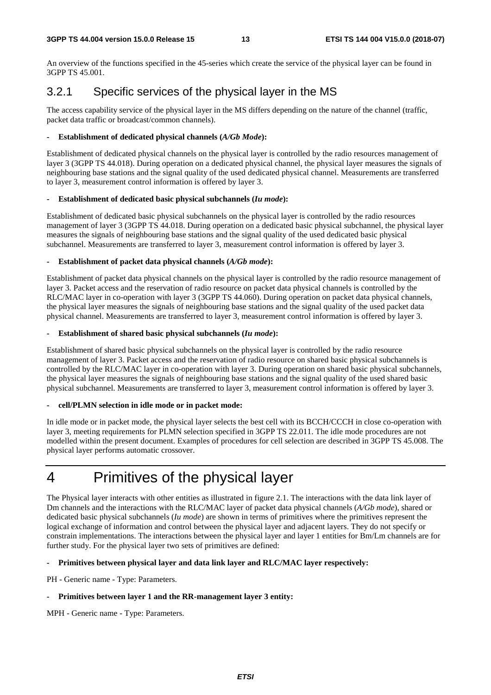An overview of the functions specified in the 45-series which create the service of the physical layer can be found in 3GPP TS 45.001.

### 3.2.1 Specific services of the physical layer in the MS

The access capability service of the physical layer in the MS differs depending on the nature of the channel (traffic, packet data traffic or broadcast/common channels).

#### **- Establishment of dedicated physical channels (***A/Gb Mode***):**

Establishment of dedicated physical channels on the physical layer is controlled by the radio resources management of layer 3 (3GPP TS 44.018). During operation on a dedicated physical channel, the physical layer measures the signals of neighbouring base stations and the signal quality of the used dedicated physical channel. Measurements are transferred to layer 3, measurement control information is offered by layer 3.

#### **- Establishment of dedicated basic physical subchannels (***Iu mode***):**

Establishment of dedicated basic physical subchannels on the physical layer is controlled by the radio resources management of layer 3 (3GPP TS 44.018. During operation on a dedicated basic physical subchannel, the physical layer measures the signals of neighbouring base stations and the signal quality of the used dedicated basic physical subchannel. Measurements are transferred to layer 3, measurement control information is offered by layer 3.

#### Establishment of packet data physical channels (*A/Gb mode*):

Establishment of packet data physical channels on the physical layer is controlled by the radio resource management of layer 3. Packet access and the reservation of radio resource on packet data physical channels is controlled by the RLC/MAC layer in co-operation with layer 3 (3GPP TS 44.060). During operation on packet data physical channels, the physical layer measures the signals of neighbouring base stations and the signal quality of the used packet data physical channel. Measurements are transferred to layer 3, measurement control information is offered by layer 3.

#### Establishment of shared basic physical subchannels (*Iu mode*):

Establishment of shared basic physical subchannels on the physical layer is controlled by the radio resource management of layer 3. Packet access and the reservation of radio resource on shared basic physical subchannels is controlled by the RLC/MAC layer in co-operation with layer 3. During operation on shared basic physical subchannels, the physical layer measures the signals of neighbouring base stations and the signal quality of the used shared basic physical subchannel. Measurements are transferred to layer 3, measurement control information is offered by layer 3.

#### **- cell/PLMN selection in idle mode or in packet mode:**

In idle mode or in packet mode, the physical layer selects the best cell with its BCCH/CCCH in close co-operation with layer 3, meeting requirements for PLMN selection specified in 3GPP TS 22.011. The idle mode procedures are not modelled within the present document. Examples of procedures for cell selection are described in 3GPP TS 45.008. The physical layer performs automatic crossover.

# 4 Primitives of the physical layer

The Physical layer interacts with other entities as illustrated in figure 2.1. The interactions with the data link layer of Dm channels and the interactions with the RLC/MAC layer of packet data physical channels (*A/Gb mode*), shared or dedicated basic physical subchannels (*Iu mode*) are shown in terms of primitives where the primitives represent the logical exchange of information and control between the physical layer and adjacent layers. They do not specify or constrain implementations. The interactions between the physical layer and layer 1 entities for Bm/Lm channels are for further study. For the physical layer two sets of primitives are defined:

#### **- Primitives between physical layer and data link layer and RLC/MAC layer respectively:**

PH - Generic name - Type: Parameters.

#### **- Primitives between layer 1 and the RR-management layer 3 entity:**

MPH - Generic name - Type: Parameters.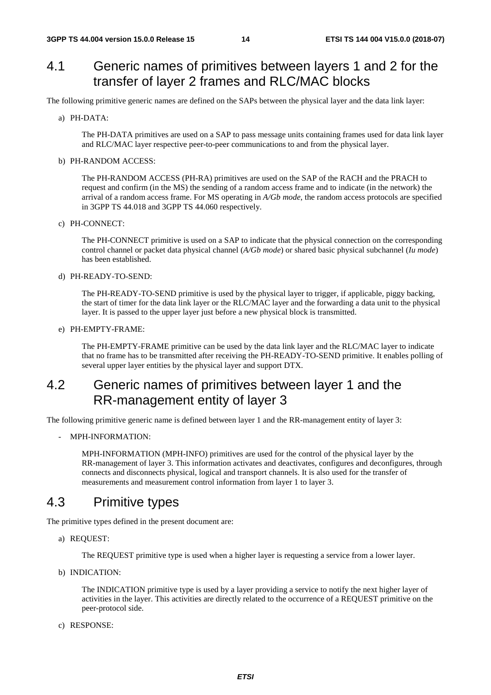### 4.1 Generic names of primitives between layers 1 and 2 for the transfer of layer 2 frames and RLC/MAC blocks

The following primitive generic names are defined on the SAPs between the physical layer and the data link layer:

a) PH-DATA:

 The PH-DATA primitives are used on a SAP to pass message units containing frames used for data link layer and RLC/MAC layer respective peer-to-peer communications to and from the physical layer.

b) PH-RANDOM ACCESS:

 The PH-RANDOM ACCESS (PH-RA) primitives are used on the SAP of the RACH and the PRACH to request and confirm (in the MS) the sending of a random access frame and to indicate (in the network) the arrival of a random access frame. For MS operating in *A/Gb mode*, the random access protocols are specified in 3GPP TS 44.018 and 3GPP TS 44.060 respectively.

c) PH-CONNECT:

 The PH-CONNECT primitive is used on a SAP to indicate that the physical connection on the corresponding control channel or packet data physical channel (*A/Gb mode*) or shared basic physical subchannel (*Iu mode*) has been established.

#### d) PH-READY-TO-SEND:

 The PH-READY-TO-SEND primitive is used by the physical layer to trigger, if applicable, piggy backing, the start of timer for the data link layer or the RLC/MAC layer and the forwarding a data unit to the physical layer. It is passed to the upper layer just before a new physical block is transmitted.

e) PH-EMPTY-FRAME:

 The PH-EMPTY-FRAME primitive can be used by the data link layer and the RLC/MAC layer to indicate that no frame has to be transmitted after receiving the PH-READY-TO-SEND primitive. It enables polling of several upper layer entities by the physical layer and support DTX.

### 4.2 Generic names of primitives between layer 1 and the RR-management entity of layer 3

The following primitive generic name is defined between layer 1 and the RR-management entity of layer 3:

- MPH-INFORMATION:

 MPH-INFORMATION (MPH-INFO) primitives are used for the control of the physical layer by the RR-management of layer 3. This information activates and deactivates, configures and deconfigures, through connects and disconnects physical, logical and transport channels. It is also used for the transfer of measurements and measurement control information from layer 1 to layer 3.

### 4.3 Primitive types

The primitive types defined in the present document are:

a) REQUEST:

The REQUEST primitive type is used when a higher layer is requesting a service from a lower layer.

b) INDICATION:

 The INDICATION primitive type is used by a layer providing a service to notify the next higher layer of activities in the layer. This activities are directly related to the occurrence of a REQUEST primitive on the peer-protocol side.

c) RESPONSE: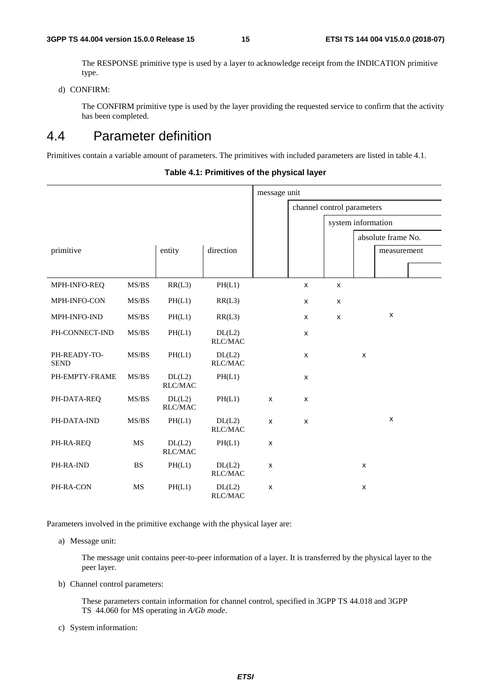The RESPONSE primitive type is used by a layer to acknowledge receipt from the INDICATION primitive type.

d) CONFIRM:

 The CONFIRM primitive type is used by the layer providing the requested service to confirm that the activity has been completed.

### 4.4 Parameter definition

Primitives contain a variable amount of parameters. The primitives with included parameters are listed in table 4.1.

**Table 4.1: Primitives of the physical layer** 

|                             |           |                   |                                       | message unit              |                            |                    |                |                    |  |
|-----------------------------|-----------|-------------------|---------------------------------------|---------------------------|----------------------------|--------------------|----------------|--------------------|--|
|                             |           |                   |                                       |                           | channel control parameters |                    |                |                    |  |
|                             |           |                   |                                       |                           |                            | system information |                |                    |  |
|                             |           |                   |                                       |                           |                            |                    |                | absolute frame No. |  |
| primitive                   |           | entity            | direction                             |                           |                            |                    |                | measurement        |  |
|                             |           |                   |                                       |                           |                            |                    |                |                    |  |
| MPH-INFO-REQ                | MS/BS     | RR(L3)            | PH(L1)                                |                           | $\pmb{\mathsf{x}}$         | $\pmb{\mathsf{x}}$ |                |                    |  |
| MPH-INFO-CON                | MS/BS     | PH(L1)            | RR(L3)                                |                           | X                          | $\pmb{\mathsf{x}}$ |                |                    |  |
| MPH-INFO-IND                | MS/BS     | PH(L1)            | RR(L3)                                |                           | X                          | $\pmb{\times}$     |                | $\pmb{\mathsf{X}}$ |  |
| PH-CONNECT-IND              | MS/BS     | PH(L1)            | DL(L2)<br>RLC/MAC                     |                           | X                          |                    |                |                    |  |
| PH-READY-TO-<br><b>SEND</b> | MS/BS     | PH(L1)            | DL(L2)<br>RLC/MAC                     |                           | X                          |                    | X              |                    |  |
| PH-EMPTY-FRAME              | MS/BS     | DL(L2)<br>RLC/MAC | PH(L1)                                |                           | X                          |                    |                |                    |  |
| PH-DATA-REQ                 | MS/BS     | DL(L2)<br>RLC/MAC | PH(L1)                                | $\mathsf{x}$              | X                          |                    |                |                    |  |
| PH-DATA-IND                 | MS/BS     | PH(L1)            | DL(L2)<br>$\mathsf{RLC}/\mathsf{MAC}$ | $\mathsf{x}$              | X                          |                    |                | $\pmb{\mathsf{x}}$ |  |
| PH-RA-REQ                   | <b>MS</b> | DL(L2)<br>RLC/MAC | PH(L1)                                | $\pmb{\times}$            |                            |                    |                |                    |  |
| PH-RA-IND                   | <b>BS</b> | PH(L1)            | DL(L2)<br>RLC/MAC                     | $\pmb{\times}$            |                            |                    | X              |                    |  |
| PH-RA-CON                   | MS        | PH(L1)            | DL(L2)<br><b>RLC/MAC</b>              | $\boldsymbol{\mathsf{x}}$ |                            |                    | $\pmb{\times}$ |                    |  |

Parameters involved in the primitive exchange with the physical layer are:

a) Message unit:

 The message unit contains peer-to-peer information of a layer. It is transferred by the physical layer to the peer layer.

b) Channel control parameters:

 These parameters contain information for channel control, specified in 3GPP TS 44.018 and 3GPP TS 44.060 for MS operating in *A/Gb mode*.

c) System information: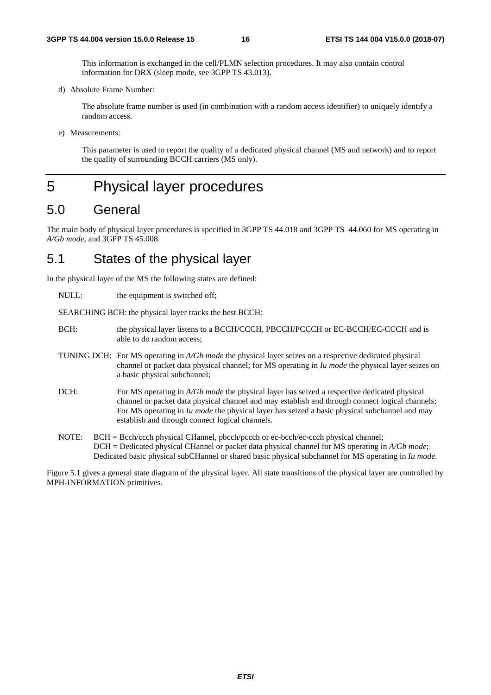This information is exchanged in the cell/PLMN selection procedures. It may also contain control information for DRX (sleep mode, see 3GPP TS 43.013).

d) Absolute Frame Number:

 The absolute frame number is used (in combination with a random access identifier) to uniquely identify a random access.

e) Measurements:

 This parameter is used to report the quality of a dedicated physical channel (MS and network) and to report the quality of surrounding BCCH carriers (MS only).

### 5 Physical layer procedures

### 5.0 General

The main body of physical layer procedures is specified in 3GPP TS 44.018 and 3GPP TS 44.060 for MS operating in *A/Gb mode*, and 3GPP TS 45.008.

### 5.1 States of the physical layer

In the physical layer of the MS the following states are defined:

NULL: the equipment is switched off;

SEARCHING BCH: the physical layer tracks the best BCCH;

- BCH: the physical layer listens to a BCCH/CCCH, PBCCH/PCCCH or EC-BCCH/EC-CCCH and is able to do random access;
- TUNING DCH: For MS operating in *A/Gb mode* the physical layer seizes on a respective dedicated physical channel or packet data physical channel; for MS operating in *Iu mode* the physical layer seizes on a basic physical subchannel;
- DCH: For MS operating in *A/Gb mode* the physical layer has seized a respective dedicated physical channel or packet data physical channel and may establish and through connect logical channels; For MS operating in *Iu mode* the physical layer has seized a basic physical subchannel and may establish and through connect logical channels.
- NOTE: BCH = Bcch/ccch physical CHannel, pbcch/pccch or ec-bcch/ec-ccch physical channel; DCH = Dedicated physical CHannel or packet data physical channel for MS operating in *A/Gb mode*; Dedicated basic physical subCHannel or shared basic physical subchannel for MS operating in *Iu mode*.

Figure 5.1 gives a general state diagram of the physical layer. All state transitions of the physical layer are controlled by MPH-INFORMATION primitives.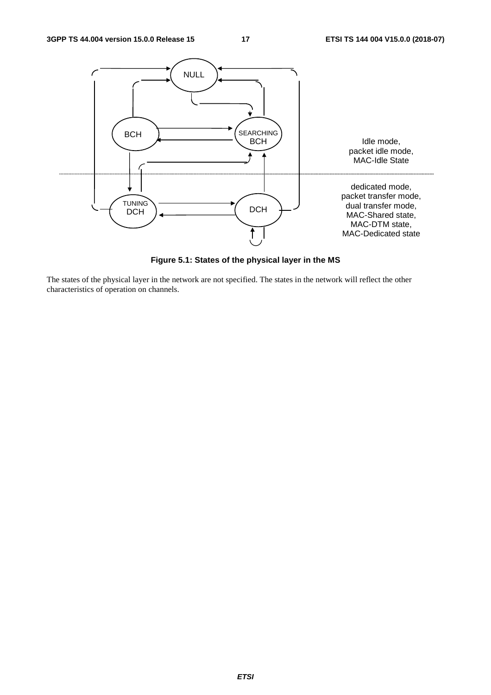

**Figure 5.1: States of the physical layer in the MS** 

The states of the physical layer in the network are not specified. The states in the network will reflect the other characteristics of operation on channels.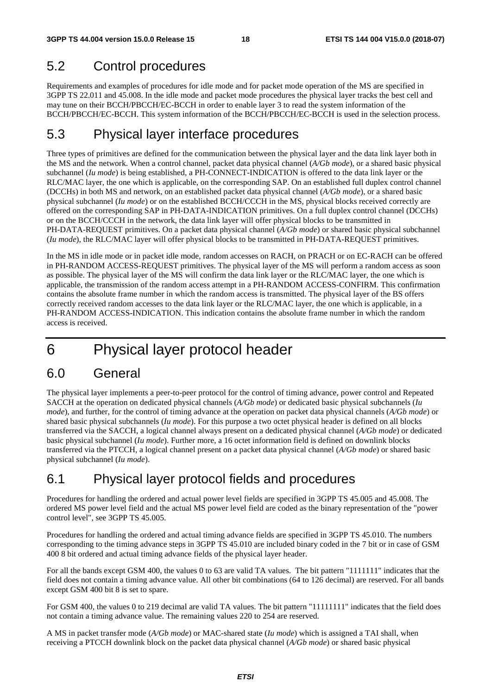## 5.2 Control procedures

Requirements and examples of procedures for idle mode and for packet mode operation of the MS are specified in 3GPP TS 22.011 and 45.008. In the idle mode and packet mode procedures the physical layer tracks the best cell and may tune on their BCCH/PBCCH/EC-BCCH in order to enable layer 3 to read the system information of the BCCH/PBCCH/EC-BCCH. This system information of the BCCH/PBCCH/EC-BCCH is used in the selection process.

### 5.3 Physical layer interface procedures

Three types of primitives are defined for the communication between the physical layer and the data link layer both in the MS and the network. When a control channel, packet data physical channel (*A/Gb mode*), or a shared basic physical subchannel (*Iu mode*) is being established, a PH-CONNECT-INDICATION is offered to the data link layer or the RLC/MAC layer, the one which is applicable, on the corresponding SAP. On an established full duplex control channel (DCCHs) in both MS and network, on an established packet data physical channel (*A/Gb mode*), or a shared basic physical subchannel (*Iu mode*) or on the established BCCH/CCCH in the MS, physical blocks received correctly are offered on the corresponding SAP in PH-DATA-INDICATION primitives. On a full duplex control channel (DCCHs) or on the BCCH/CCCH in the network, the data link layer will offer physical blocks to be transmitted in PH-DATA-REQUEST primitives. On a packet data physical channel (*A/Gb mode*) or shared basic physical subchannel (*Iu mode*), the RLC/MAC layer will offer physical blocks to be transmitted in PH-DATA-REQUEST primitives.

In the MS in idle mode or in packet idle mode, random accesses on RACH, on PRACH or on EC-RACH can be offered in PH-RANDOM ACCESS-REQUEST primitives. The physical layer of the MS will perform a random access as soon as possible. The physical layer of the MS will confirm the data link layer or the RLC/MAC layer, the one which is applicable, the transmission of the random access attempt in a PH-RANDOM ACCESS-CONFIRM. This confirmation contains the absolute frame number in which the random access is transmitted. The physical layer of the BS offers correctly received random accesses to the data link layer or the RLC/MAC layer, the one which is applicable, in a PH-RANDOM ACCESS-INDICATION. This indication contains the absolute frame number in which the random access is received.

# 6 Physical layer protocol header

### 6.0 General

The physical layer implements a peer-to-peer protocol for the control of timing advance, power control and Repeated SACCH at the operation on dedicated physical channels (*A/Gb mode*) or dedicated basic physical subchannels (*Iu mode*), and further, for the control of timing advance at the operation on packet data physical channels (*A/Gb mode*) or shared basic physical subchannels (*Iu mode*). For this purpose a two octet physical header is defined on all blocks transferred via the SACCH, a logical channel always present on a dedicated physical channel (*A/Gb mode*) or dedicated basic physical subchannel (*Iu mode*). Further more, a 16 octet information field is defined on downlink blocks transferred via the PTCCH, a logical channel present on a packet data physical channel (*A/Gb mode*) or shared basic physical subchannel (*Iu mode*).

### 6.1 Physical layer protocol fields and procedures

Procedures for handling the ordered and actual power level fields are specified in 3GPP TS 45.005 and 45.008. The ordered MS power level field and the actual MS power level field are coded as the binary representation of the "power control level", see 3GPP TS 45.005.

Procedures for handling the ordered and actual timing advance fields are specified in 3GPP TS 45.010. The numbers corresponding to the timing advance steps in 3GPP TS 45.010 are included binary coded in the 7 bit or in case of GSM 400 8 bit ordered and actual timing advance fields of the physical layer header.

For all the bands except GSM 400, the values 0 to 63 are valid TA values. The bit pattern "1111111" indicates that the field does not contain a timing advance value. All other bit combinations (64 to 126 decimal) are reserved. For all bands except GSM 400 bit 8 is set to spare.

For GSM 400, the values 0 to 219 decimal are valid TA values. The bit pattern "11111111" indicates that the field does not contain a timing advance value. The remaining values 220 to 254 are reserved.

A MS in packet transfer mode (*A/Gb mode*) or MAC-shared state (*Iu mode*) which is assigned a TAI shall, when receiving a PTCCH downlink block on the packet data physical channel (*A/Gb mode*) or shared basic physical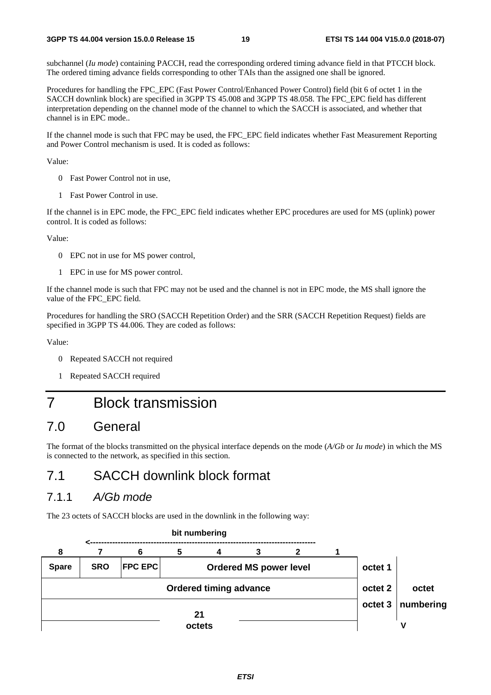subchannel (*Iu mode*) containing PACCH, read the corresponding ordered timing advance field in that PTCCH block. The ordered timing advance fields corresponding to other TAIs than the assigned one shall be ignored.

Procedures for handling the FPC\_EPC (Fast Power Control/Enhanced Power Control) field (bit 6 of octet 1 in the SACCH downlink block) are specified in 3GPP TS 45.008 and 3GPP TS 48.058. The FPC\_EPC field has different interpretation depending on the channel mode of the channel to which the SACCH is associated, and whether that channel is in EPC mode..

If the channel mode is such that FPC may be used, the FPC\_EPC field indicates whether Fast Measurement Reporting and Power Control mechanism is used. It is coded as follows:

Value:

- 0 Fast Power Control not in use,
- 1 Fast Power Control in use.

If the channel is in EPC mode, the FPC\_EPC field indicates whether EPC procedures are used for MS (uplink) power control. It is coded as follows:

Value:

- 0 EPC not in use for MS power control,
- 1 EPC in use for MS power control.

If the channel mode is such that FPC may not be used and the channel is not in EPC mode, the MS shall ignore the value of the FPC\_EPC field.

Procedures for handling the SRO (SACCH Repetition Order) and the SRR (SACCH Repetition Request) fields are specified in 3GPP TS 44.006. They are coded as follows:

Value:

- 0 Repeated SACCH not required
- 1 Repeated SACCH required

## 7 Block transmission

### 7.0 General

The format of the blocks transmitted on the physical interface depends on the mode (*A/Gb* or *Iu mode*) in which the MS is connected to the network, as specified in this section.

### 7.1 SACCH downlink block format

### 7.1.1 *A/Gb mode*

The 23 octets of SACCH blocks are used in the downlink in the following way:

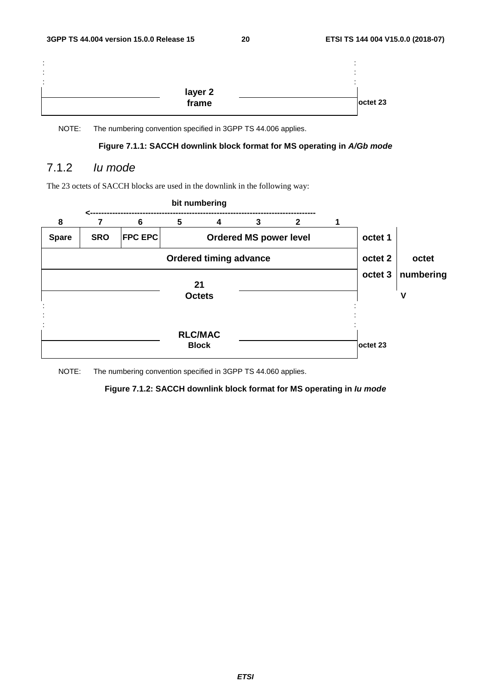| $\blacksquare$<br>۰.<br>$\blacksquare$<br>۰.<br>$\blacksquare$<br>- 4 |                  |          |
|-----------------------------------------------------------------------|------------------|----------|
|                                                                       | layer 2<br>frame |          |
|                                                                       |                  | octet 23 |

#### **Figure 7.1.1: SACCH downlink block format for MS operating in** *A/Gb mode*

### 7.1.2 *Iu mode*

The 23 octets of SACCH blocks are used in the downlink in the following way:



#### **bit numbering**

NOTE: The numbering convention specified in 3GPP TS 44.060 applies.

#### **Figure 7.1.2: SACCH downlink block format for MS operating in** *Iu mode*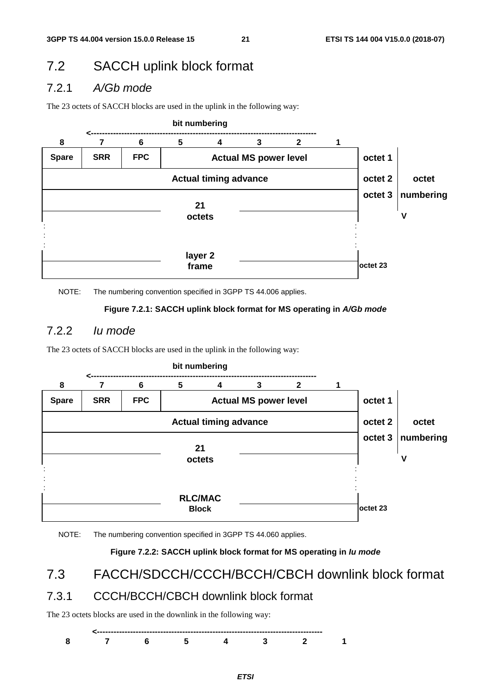## 7.2 SACCH uplink block format

### 7.2.1 *A/Gb mode*

The 23 octets of SACCH blocks are used in the uplink in the following way:



NOTE: The numbering convention specified in 3GPP TS 44.006 applies.

#### **Figure 7.2.1: SACCH uplink block format for MS operating in** *A/Gb mode*

### 7.2.2 *Iu mode*

The 23 octets of SACCH blocks are used in the uplink in the following way:



NOTE: The numbering convention specified in 3GPP TS 44.060 applies.

#### **Figure 7.2.2: SACCH uplink block format for MS operating in** *Iu mode*

7.3 FACCH/SDCCH/CCCH/BCCH/CBCH downlink block format

### 7.3.1 CCCH/BCCH/CBCH downlink block format

The 23 octets blocks are used in the downlink in the following way:

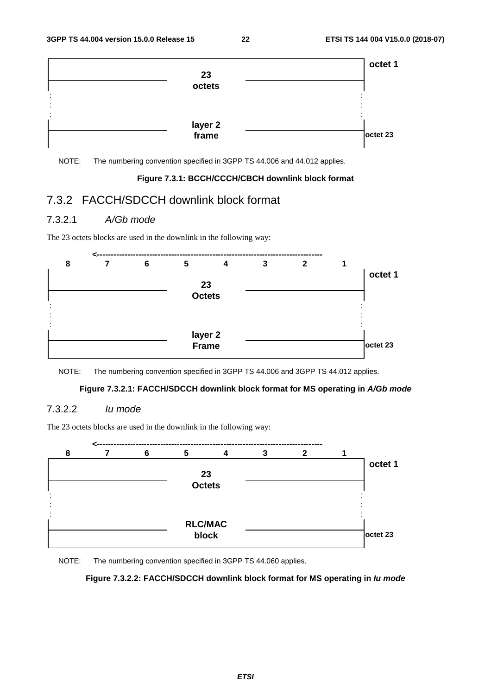

#### **Figure 7.3.1: BCCH/CCCH/CBCH downlink block format**

### 7.3.2 FACCH/SDCCH downlink block format

#### 7.3.2.1 *A/Gb mode*

The 23 octets blocks are used in the downlink in the following way:



NOTE: The numbering convention specified in 3GPP TS 44.006 and 3GPP TS 44.012 applies.

#### **Figure 7.3.2.1: FACCH/SDCCH downlink block format for MS operating in** *A/Gb mode*

#### 7.3.2.2 *Iu mode*

The 23 octets blocks are used in the downlink in the following way:



NOTE: The numbering convention specified in 3GPP TS 44.060 applies.

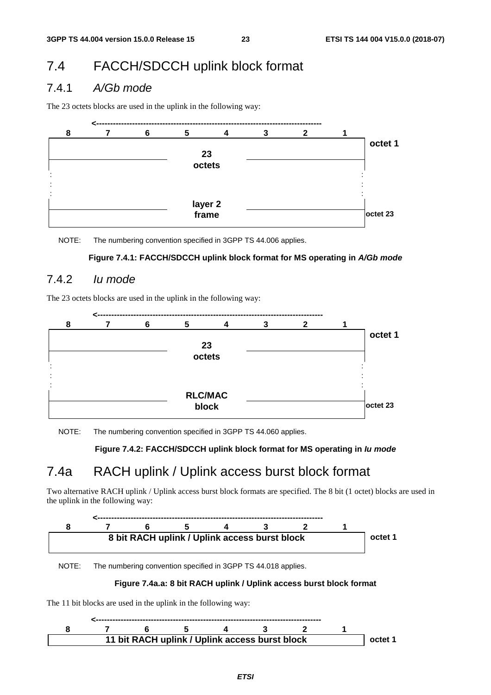## 7.4 FACCH/SDCCH uplink block format

### 7.4.1 *A/Gb mode*

The 23 octets blocks are used in the uplink in the following way:



NOTE: The numbering convention specified in 3GPP TS 44.006 applies.

#### **Figure 7.4.1: FACCH/SDCCH uplink block format for MS operating in** *A/Gb mode*

### 7.4.2 *Iu mode*

The 23 octets blocks are used in the uplink in the following way:



NOTE: The numbering convention specified in 3GPP TS 44.060 applies.

#### **Figure 7.4.2: FACCH/SDCCH uplink block format for MS operating in** *Iu mode*

### 7.4a RACH uplink / Uplink access burst block format

Two alternative RACH uplink / Uplink access burst block formats are specified. The 8 bit (1 octet) blocks are used in the uplink in the following way:



NOTE: The numbering convention specified in 3GPP TS 44.018 applies.

#### **Figure 7.4a.a: 8 bit RACH uplink / Uplink access burst block format**

The 11 bit blocks are used in the uplink in the following way:

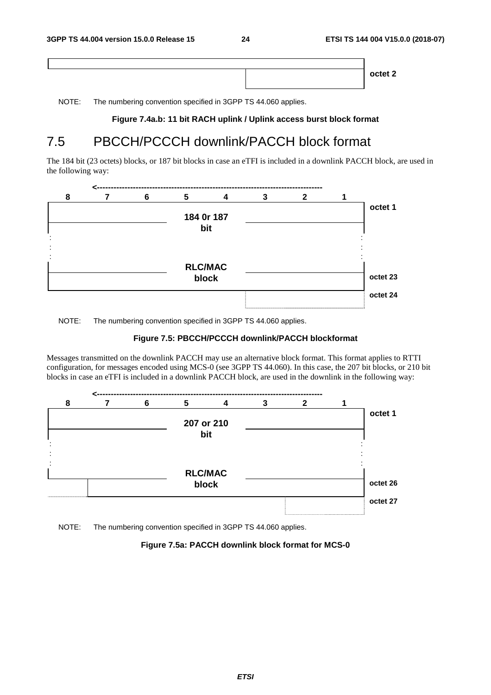**octet 2**

NOTE: The numbering convention specified in 3GPP TS 44.060 applies.

#### **Figure 7.4a.b: 11 bit RACH uplink / Uplink access burst block format**

## 7.5 PBCCH/PCCCH downlink/PACCH block format

The 184 bit (23 octets) blocks, or 187 bit blocks in case an eTFI is included in a downlink PACCH block, are used in the following way:



NOTE: The numbering convention specified in 3GPP TS 44.060 applies.

#### **Figure 7.5: PBCCH/PCCCH downlink/PACCH blockformat**

Messages transmitted on the downlink PACCH may use an alternative block format. This format applies to RTTI configuration, for messages encoded using MCS-0 (see 3GPP TS 44.060). In this case, the 207 bit blocks, or 210 bit blocks in case an eTFI is included in a downlink PACCH block, are used in the downlink in the following way:



NOTE: The numbering convention specified in 3GPP TS 44.060 applies.

#### **Figure 7.5a: PACCH downlink block format for MCS-0**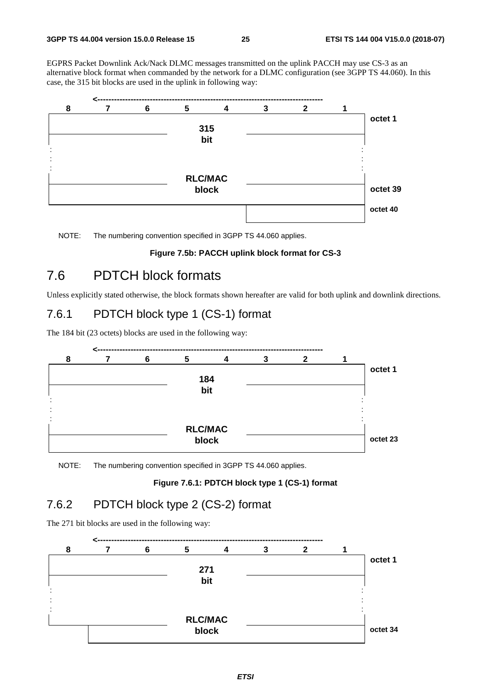EGPRS Packet Downlink Ack/Nack DLMC messages transmitted on the uplink PACCH may use CS-3 as an alternative block format when commanded by the network for a DLMC configuration (see 3GPP TS 44.060). In this case, the 315 bit blocks are used in the uplink in following way:



NOTE: The numbering convention specified in 3GPP TS 44.060 applies.

#### **Figure 7.5b: PACCH uplink block format for CS-3**

### 7.6 PDTCH block formats

Unless explicitly stated otherwise, the block formats shown hereafter are valid for both uplink and downlink directions.

### 7.6.1 PDTCH block type 1 (CS-1) format

The 184 bit (23 octets) blocks are used in the following way:



NOTE: The numbering convention specified in 3GPP TS 44.060 applies.

#### **Figure 7.6.1: PDTCH block type 1 (CS-1) format**

### 7.6.2 PDTCH block type 2 (CS-2) format

The 271 bit blocks are used in the following way:

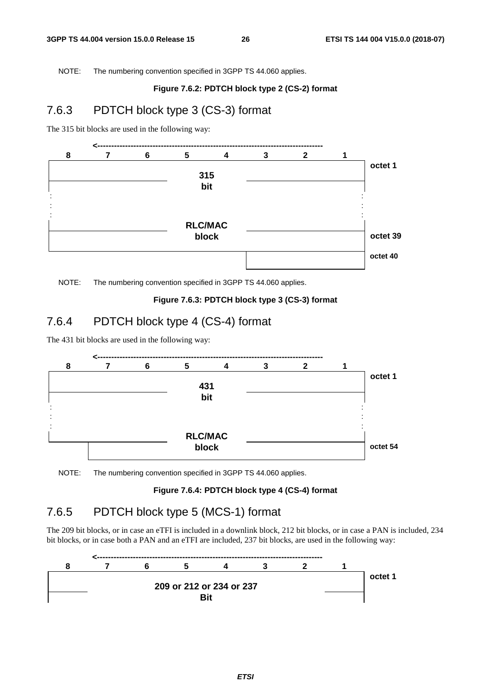#### **Figure 7.6.2: PDTCH block type 2 (CS-2) format**

### 7.6.3 PDTCH block type 3 (CS-3) format

The 315 bit blocks are used in the following way:



NOTE: The numbering convention specified in 3GPP TS 44.060 applies.

#### **Figure 7.6.3: PDTCH block type 3 (CS-3) format**

### 7.6.4 PDTCH block type 4 (CS-4) format

The 431 bit blocks are used in the following way:



NOTE: The numbering convention specified in 3GPP TS 44.060 applies.

#### **Figure 7.6.4: PDTCH block type 4 (CS-4) format**

### 7.6.5 PDTCH block type 5 (MCS-1) format

The 209 bit blocks, or in case an eTFI is included in a downlink block, 212 bit blocks, or in case a PAN is included, 234 bit blocks, or in case both a PAN and an eTFI are included, 237 bit blocks, are used in the following way:

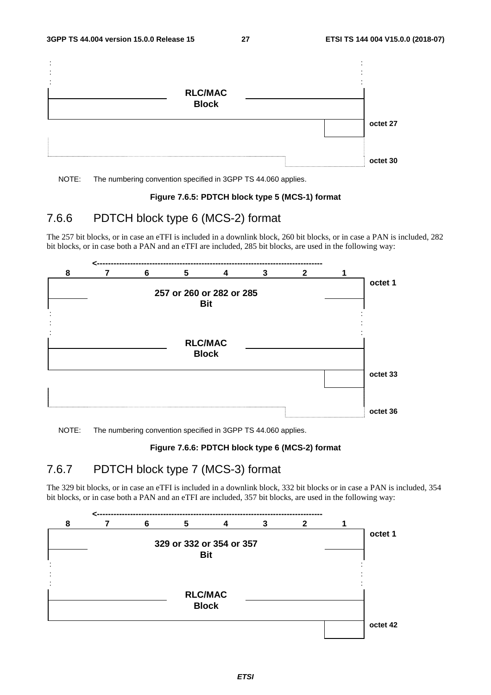

#### **Figure 7.6.5: PDTCH block type 5 (MCS-1) format**

### 7.6.6 PDTCH block type 6 (MCS-2) format

The 257 bit blocks, or in case an eTFI is included in a downlink block, 260 bit blocks, or in case a PAN is included, 282 bit blocks, or in case both a PAN and an eTFI are included, 285 bit blocks, are used in the following way:



NOTE: The numbering convention specified in 3GPP TS 44.060 applies.

#### **Figure 7.6.6: PDTCH block type 6 (MCS-2) format**

### 7.6.7 PDTCH block type 7 (MCS-3) format

The 329 bit blocks, or in case an eTFI is included in a downlink block, 332 bit blocks or in case a PAN is included, 354 bit blocks, or in case both a PAN and an eTFI are included, 357 bit blocks, are used in the following way:

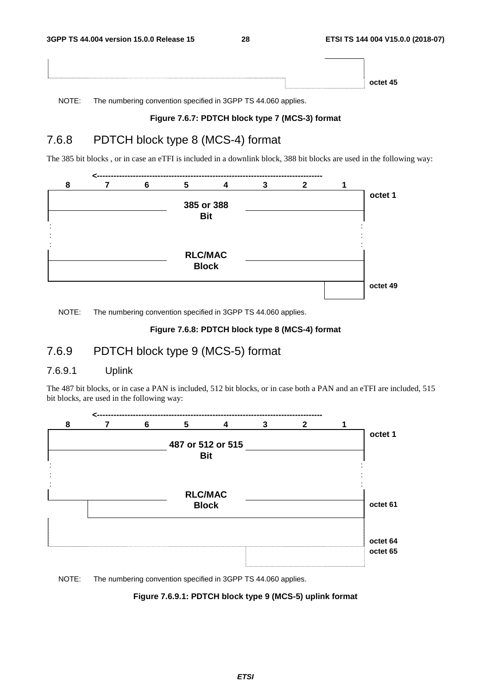| octet 45 |
|----------|

#### **Figure 7.6.7: PDTCH block type 7 (MCS-3) format**

### 7.6.8 PDTCH block type 8 (MCS-4) format

The 385 bit blocks , or in case an eTFI is included in a downlink block, 388 bit blocks are used in the following way:



NOTE: The numbering convention specified in 3GPP TS 44.060 applies.

#### **Figure 7.6.8: PDTCH block type 8 (MCS-4) format**

### 7.6.9 PDTCH block type 9 (MCS-5) format

#### 7.6.9.1 Uplink

The 487 bit blocks, or in case a PAN is included, 512 bit blocks, or in case both a PAN and an eTFI are included, 515 bit blocks, are used in the following way:



NOTE: The numbering convention specified in 3GPP TS 44.060 applies.

#### **Figure 7.6.9.1: PDTCH block type 9 (MCS-5) uplink format**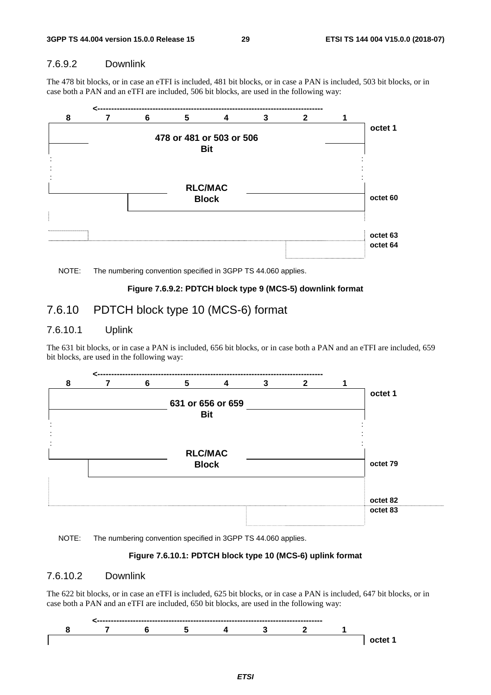#### 7.6.9.2 Downlink

The 478 bit blocks, or in case an eTFI is included, 481 bit blocks, or in case a PAN is included, 503 bit blocks, or in case both a PAN and an eTFI are included, 506 bit blocks, are used in the following way:





#### **Figure 7.6.9.2: PDTCH block type 9 (MCS-5) downlink format**

### 7.6.10 PDTCH block type 10 (MCS-6) format

#### 7.6.10.1 Uplink

The 631 bit blocks, or in case a PAN is included, 656 bit blocks, or in case both a PAN and an eTFI are included, 659 bit blocks, are used in the following way:



NOTE: The numbering convention specified in 3GPP TS 44.060 applies.

#### **Figure 7.6.10.1: PDTCH block type 10 (MCS-6) uplink format**

#### 7.6.10.2 Downlink

The 622 bit blocks, or in case an eTFI is included, 625 bit blocks, or in case a PAN is included, 647 bit blocks, or in case both a PAN and an eTFI are included, 650 bit blocks, are used in the following way:

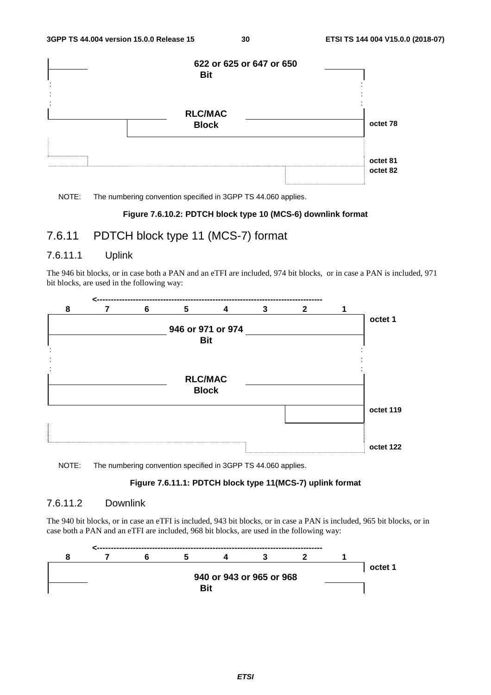

#### **Figure 7.6.10.2: PDTCH block type 10 (MCS-6) downlink format**

### 7.6.11 PDTCH block type 11 (MCS-7) format

#### 7.6.11.1 Uplink

The 946 bit blocks, or in case both a PAN and an eTFI are included, 974 bit blocks, or in case a PAN is included, 971 bit blocks, are used in the following way:

![](_page_30_Figure_9.jpeg)

NOTE: The numbering convention specified in 3GPP TS 44.060 applies.

#### **Figure 7.6.11.1: PDTCH block type 11(MCS-7) uplink format**

#### 7.6.11.2 Downlink

The 940 bit blocks, or in case an eTFI is included, 943 bit blocks, or in case a PAN is included, 965 bit blocks, or in case both a PAN and an eTFI are included, 968 bit blocks, are used in the following way:

![](_page_30_Figure_14.jpeg)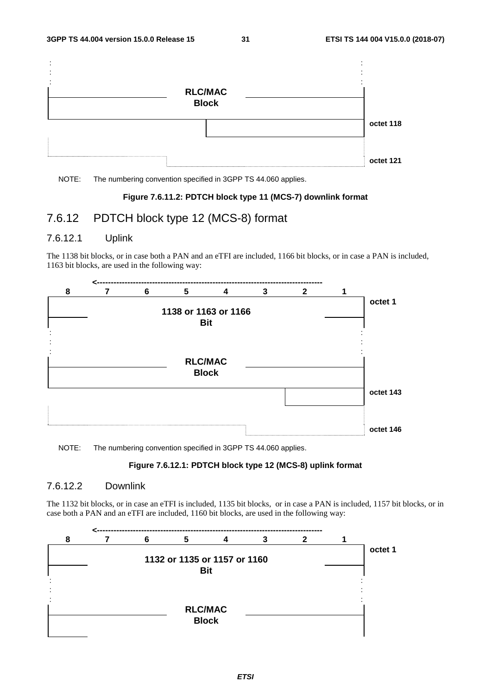![](_page_31_Figure_3.jpeg)

#### **Figure 7.6.11.2: PDTCH block type 11 (MCS-7) downlink format**

### 7.6.12 PDTCH block type 12 (MCS-8) format

#### 7.6.12.1 Uplink

The 1138 bit blocks, or in case both a PAN and an eTFI are included, 1166 bit blocks, or in case a PAN is included, 1163 bit blocks, are used in the following way:

![](_page_31_Figure_9.jpeg)

NOTE: The numbering convention specified in 3GPP TS 44.060 applies.

#### **Figure 7.6.12.1: PDTCH block type 12 (MCS-8) uplink format**

#### 7.6.12.2 Downlink

The 1132 bit blocks, or in case an eTFI is included, 1135 bit blocks, or in case a PAN is included, 1157 bit blocks, or in case both a PAN and an eTFI are included, 1160 bit blocks, are used in the following way:

![](_page_31_Figure_14.jpeg)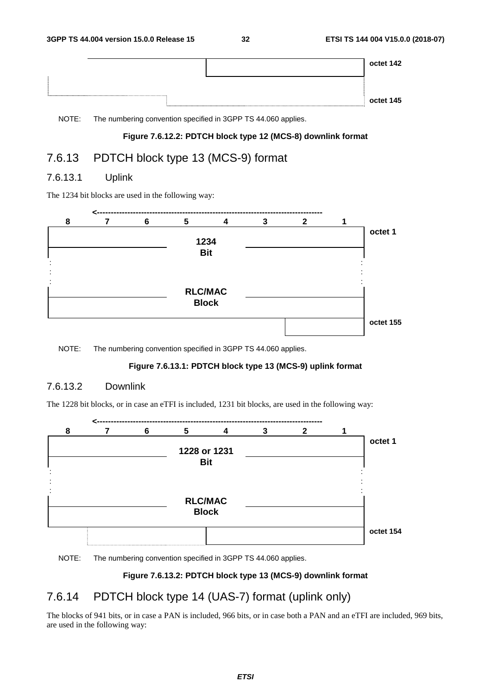|  | octet 142 |
|--|-----------|
|  | octet 145 |

#### **Figure 7.6.12.2: PDTCH block type 12 (MCS-8) downlink format**

### 7.6.13 PDTCH block type 13 (MCS-9) format

### 7.6.13.1 Uplink

The 1234 bit blocks are used in the following way:

![](_page_32_Figure_9.jpeg)

NOTE: The numbering convention specified in 3GPP TS 44.060 applies.

#### **Figure 7.6.13.1: PDTCH block type 13 (MCS-9) uplink format**

#### 7.6.13.2 Downlink

The 1228 bit blocks, or in case an eTFI is included, 1231 bit blocks, are used in the following way:

![](_page_32_Figure_14.jpeg)

NOTE: The numbering convention specified in 3GPP TS 44.060 applies.

#### **Figure 7.6.13.2: PDTCH block type 13 (MCS-9) downlink format**

### 7.6.14 PDTCH block type 14 (UAS-7) format (uplink only)

The blocks of 941 bits, or in case a PAN is included, 966 bits, or in case both a PAN and an eTFI are included, 969 bits, are used in the following way: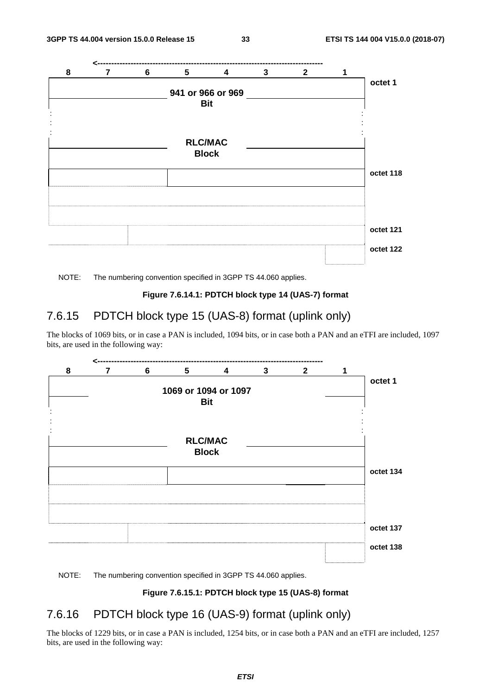![](_page_33_Figure_3.jpeg)

#### **Figure 7.6.14.1: PDTCH block type 14 (UAS-7) format**

### 7.6.15 PDTCH block type 15 (UAS-8) format (uplink only)

The blocks of 1069 bits, or in case a PAN is included, 1094 bits, or in case both a PAN and an eTFI are included, 1097 bits, are used in the following way:

![](_page_33_Figure_8.jpeg)

#### NOTE: The numbering convention specified in 3GPP TS 44.060 applies.

#### **Figure 7.6.15.1: PDTCH block type 15 (UAS-8) format**

### 7.6.16 PDTCH block type 16 (UAS-9) format (uplink only)

The blocks of 1229 bits, or in case a PAN is included, 1254 bits, or in case both a PAN and an eTFI are included, 1257 bits, are used in the following way: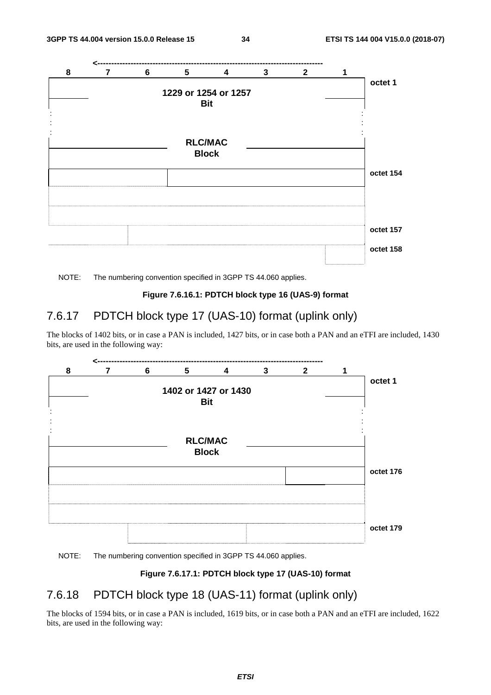![](_page_34_Figure_3.jpeg)

#### **Figure 7.6.16.1: PDTCH block type 16 (UAS-9) format**

### 7.6.17 PDTCH block type 17 (UAS-10) format (uplink only)

The blocks of 1402 bits, or in case a PAN is included, 1427 bits, or in case both a PAN and an eTFI are included, 1430 bits, are used in the following way:

![](_page_34_Figure_8.jpeg)

#### NOTE: The numbering convention specified in 3GPP TS 44.060 applies.

#### **Figure 7.6.17.1: PDTCH block type 17 (UAS-10) format**

### 7.6.18 PDTCH block type 18 (UAS-11) format (uplink only)

The blocks of 1594 bits, or in case a PAN is included, 1619 bits, or in case both a PAN and an eTFI are included, 1622 bits, are used in the following way: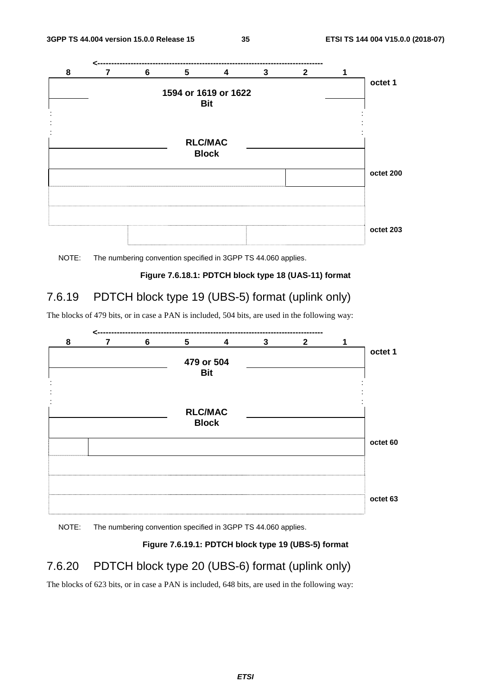![](_page_35_Figure_3.jpeg)

![](_page_35_Figure_4.jpeg)

#### **Figure 7.6.18.1: PDTCH block type 18 (UAS-11) format**

### 7.6.19 PDTCH block type 19 (UBS-5) format (uplink only)

The blocks of 479 bits, or in case a PAN is included, 504 bits, are used in the following way:

![](_page_35_Figure_8.jpeg)

NOTE: The numbering convention specified in 3GPP TS 44.060 applies.

#### **Figure 7.6.19.1: PDTCH block type 19 (UBS-5) format**

### 7.6.20 PDTCH block type 20 (UBS-6) format (uplink only)

The blocks of 623 bits, or in case a PAN is included, 648 bits, are used in the following way: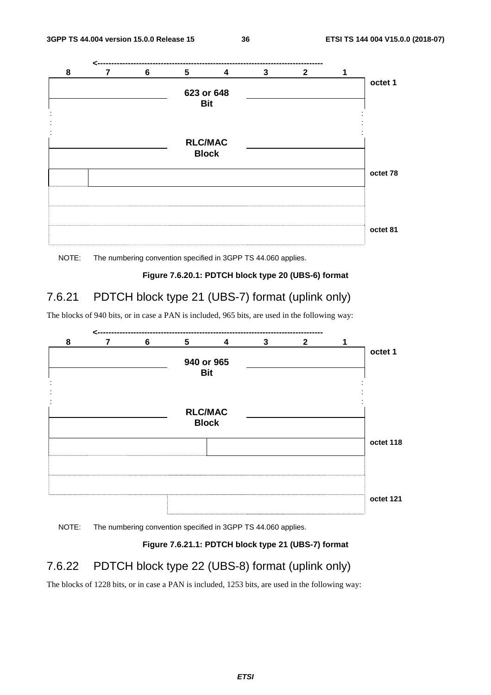![](_page_36_Figure_3.jpeg)

![](_page_36_Figure_4.jpeg)

#### **Figure 7.6.20.1: PDTCH block type 20 (UBS-6) format**

### 7.6.21 PDTCH block type 21 (UBS-7) format (uplink only)

The blocks of 940 bits, or in case a PAN is included, 965 bits, are used in the following way:

![](_page_36_Figure_8.jpeg)

NOTE: The numbering convention specified in 3GPP TS 44.060 applies.

#### **Figure 7.6.21.1: PDTCH block type 21 (UBS-7) format**

### 7.6.22 PDTCH block type 22 (UBS-8) format (uplink only)

The blocks of 1228 bits, or in case a PAN is included, 1253 bits, are used in the following way: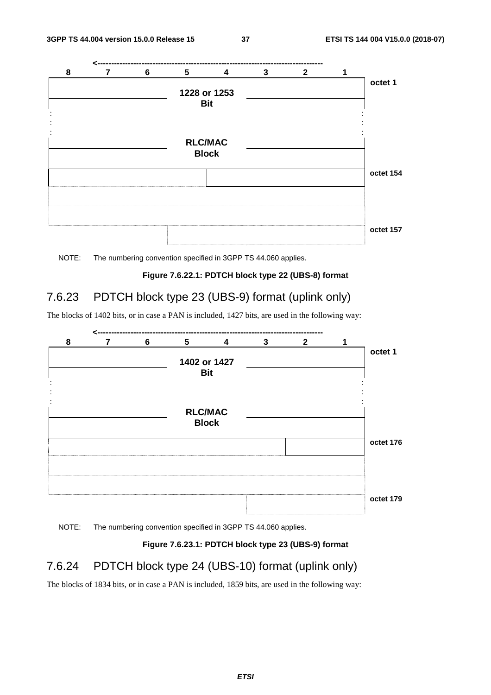![](_page_37_Figure_3.jpeg)

![](_page_37_Figure_4.jpeg)

#### **Figure 7.6.22.1: PDTCH block type 22 (UBS-8) format**

### 7.6.23 PDTCH block type 23 (UBS-9) format (uplink only)

The blocks of 1402 bits, or in case a PAN is included, 1427 bits, are used in the following way:

![](_page_37_Figure_8.jpeg)

NOTE: The numbering convention specified in 3GPP TS 44.060 applies.

#### **Figure 7.6.23.1: PDTCH block type 23 (UBS-9) format**

### 7.6.24 PDTCH block type 24 (UBS-10) format (uplink only)

The blocks of 1834 bits, or in case a PAN is included, 1859 bits, are used in the following way: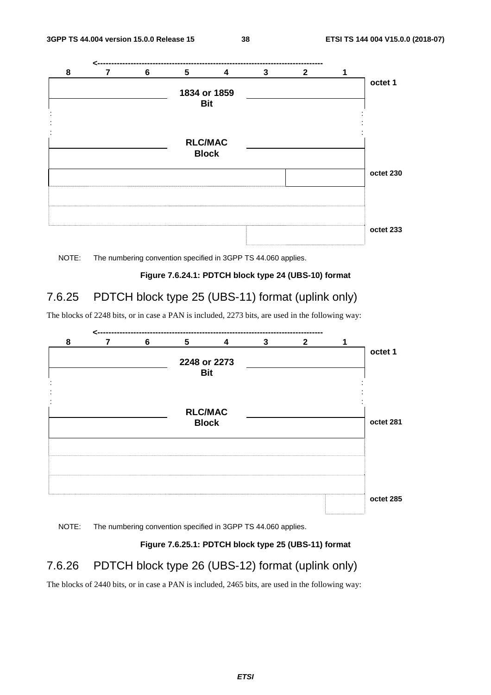![](_page_38_Figure_3.jpeg)

![](_page_38_Figure_4.jpeg)

#### **Figure 7.6.24.1: PDTCH block type 24 (UBS-10) format**

### 7.6.25 PDTCH block type 25 (UBS-11) format (uplink only)

The blocks of 2248 bits, or in case a PAN is included, 2273 bits, are used in the following way:

![](_page_38_Figure_8.jpeg)

NOTE: The numbering convention specified in 3GPP TS 44.060 applies.

#### **Figure 7.6.25.1: PDTCH block type 25 (UBS-11) format**

### 7.6.26 PDTCH block type 26 (UBS-12) format (uplink only)

The blocks of 2440 bits, or in case a PAN is included, 2465 bits, are used in the following way: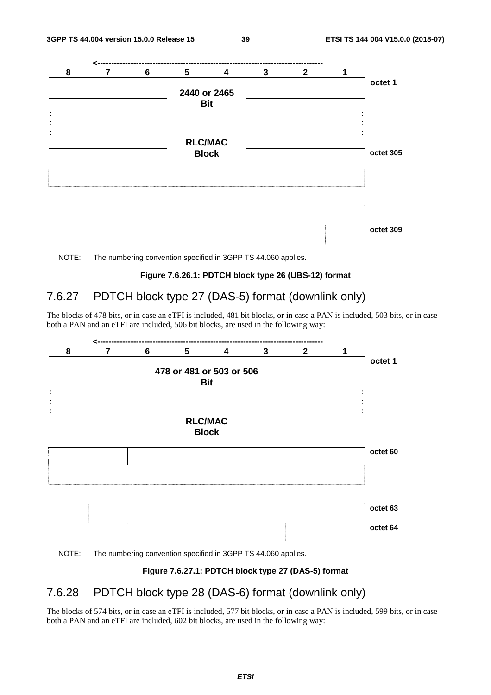![](_page_39_Figure_3.jpeg)

![](_page_39_Figure_4.jpeg)

#### **Figure 7.6.26.1: PDTCH block type 26 (UBS-12) format**

### 7.6.27 PDTCH block type 27 (DAS-5) format (downlink only)

The blocks of 478 bits, or in case an eTFI is included, 481 bit blocks, or in case a PAN is included, 503 bits, or in case both a PAN and an eTFI are included, 506 bit blocks, are used in the following way:

![](_page_39_Figure_8.jpeg)

#### NOTE: The numbering convention specified in 3GPP TS 44.060 applies.

#### **Figure 7.6.27.1: PDTCH block type 27 (DAS-5) format**

### 7.6.28 PDTCH block type 28 (DAS-6) format (downlink only)

The blocks of 574 bits, or in case an eTFI is included, 577 bit blocks, or in case a PAN is included, 599 bits, or in case both a PAN and an eTFI are included, 602 bit blocks, are used in the following way: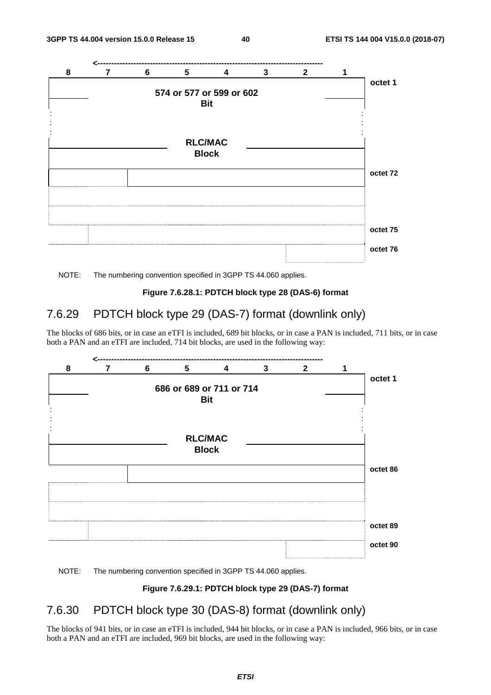![](_page_40_Figure_3.jpeg)

#### **Figure 7.6.28.1: PDTCH block type 28 (DAS-6) format**

### 7.6.29 PDTCH block type 29 (DAS-7) format (downlink only)

The blocks of 686 bits, or in case an eTFI is included, 689 bit blocks, or in case a PAN is included, 711 bits, or in case both a PAN and an eTFI are included, 714 bit blocks, are used in the following way:

![](_page_40_Figure_8.jpeg)

#### NOTE: The numbering convention specified in 3GPP TS 44.060 applies.

#### **Figure 7.6.29.1: PDTCH block type 29 (DAS-7) format**

### 7.6.30 PDTCH block type 30 (DAS-8) format (downlink only)

The blocks of 941 bits, or in case an eTFI is included, 944 bit blocks, or in case a PAN is included, 966 bits, or in case both a PAN and an eTFI are included, 969 bit blocks, are used in the following way: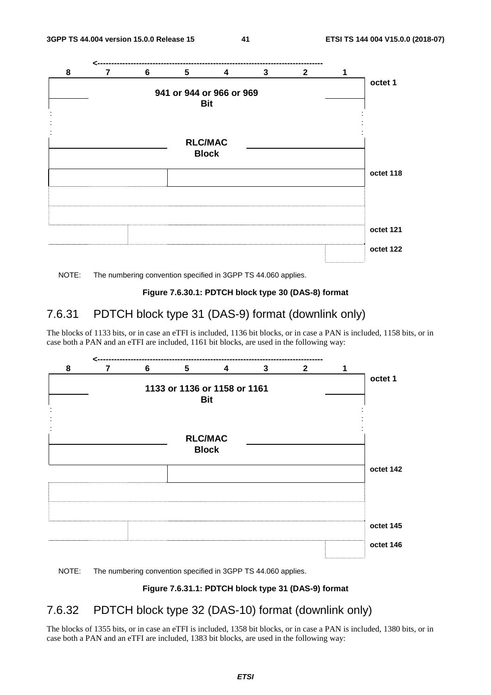![](_page_41_Figure_3.jpeg)

#### **Figure 7.6.30.1: PDTCH block type 30 (DAS-8) format**

### 7.6.31 PDTCH block type 31 (DAS-9) format (downlink only)

The blocks of 1133 bits, or in case an eTFI is included, 1136 bit blocks, or in case a PAN is included, 1158 bits, or in case both a PAN and an eTFI are included, 1161 bit blocks, are used in the following way:

![](_page_41_Figure_8.jpeg)

#### NOTE: The numbering convention specified in 3GPP TS 44.060 applies.

#### **Figure 7.6.31.1: PDTCH block type 31 (DAS-9) format**

### 7.6.32 PDTCH block type 32 (DAS-10) format (downlink only)

The blocks of 1355 bits, or in case an eTFI is included, 1358 bit blocks, or in case a PAN is included, 1380 bits, or in case both a PAN and an eTFI are included, 1383 bit blocks, are used in the following way: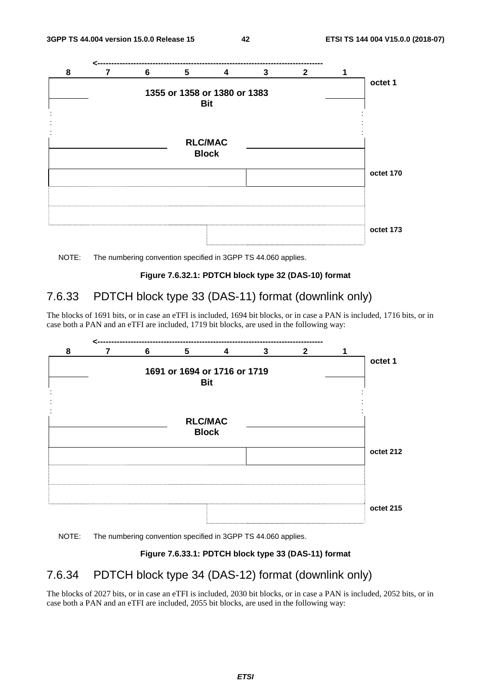![](_page_42_Figure_3.jpeg)

![](_page_42_Figure_4.jpeg)

#### **Figure 7.6.32.1: PDTCH block type 32 (DAS-10) format**

### 7.6.33 PDTCH block type 33 (DAS-11) format (downlink only)

The blocks of 1691 bits, or in case an eTFI is included, 1694 bit blocks, or in case a PAN is included, 1716 bits, or in case both a PAN and an eTFI are included, 1719 bit blocks, are used in the following way:

![](_page_42_Figure_8.jpeg)

NOTE: The numbering convention specified in 3GPP TS 44.060 applies.

#### **Figure 7.6.33.1: PDTCH block type 33 (DAS-11) format**

### 7.6.34 PDTCH block type 34 (DAS-12) format (downlink only)

The blocks of 2027 bits, or in case an eTFI is included, 2030 bit blocks, or in case a PAN is included, 2052 bits, or in case both a PAN and an eTFI are included, 2055 bit blocks, are used in the following way: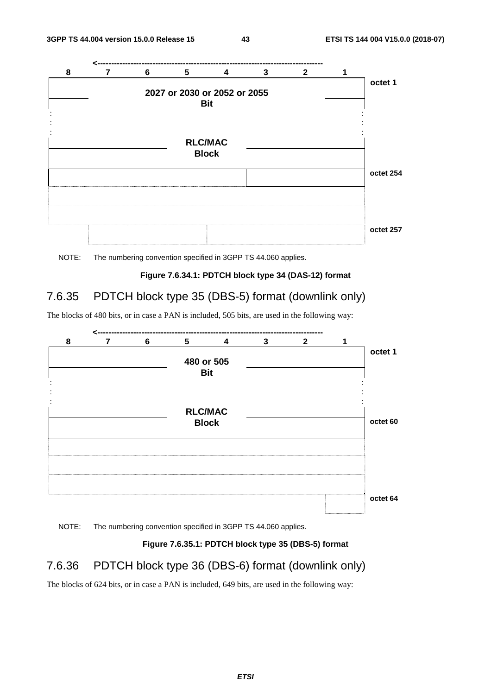![](_page_43_Figure_3.jpeg)

![](_page_43_Figure_4.jpeg)

#### **Figure 7.6.34.1: PDTCH block type 34 (DAS-12) format**

### 7.6.35 PDTCH block type 35 (DBS-5) format (downlink only)

The blocks of 480 bits, or in case a PAN is included, 505 bits, are used in the following way:

![](_page_43_Figure_8.jpeg)

NOTE: The numbering convention specified in 3GPP TS 44.060 applies.

#### **Figure 7.6.35.1: PDTCH block type 35 (DBS-5) format**

### 7.6.36 PDTCH block type 36 (DBS-6) format (downlink only)

The blocks of 624 bits, or in case a PAN is included, 649 bits, are used in the following way: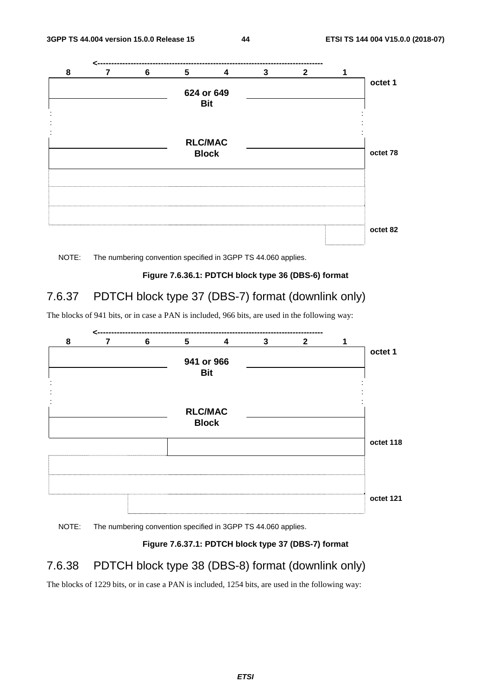![](_page_44_Figure_3.jpeg)

![](_page_44_Figure_4.jpeg)

#### **Figure 7.6.36.1: PDTCH block type 36 (DBS-6) format**

### 7.6.37 PDTCH block type 37 (DBS-7) format (downlink only)

The blocks of 941 bits, or in case a PAN is included, 966 bits, are used in the following way:

![](_page_44_Figure_8.jpeg)

NOTE: The numbering convention specified in 3GPP TS 44.060 applies.

#### **Figure 7.6.37.1: PDTCH block type 37 (DBS-7) format**

### 7.6.38 PDTCH block type 38 (DBS-8) format (downlink only)

The blocks of 1229 bits, or in case a PAN is included, 1254 bits, are used in the following way: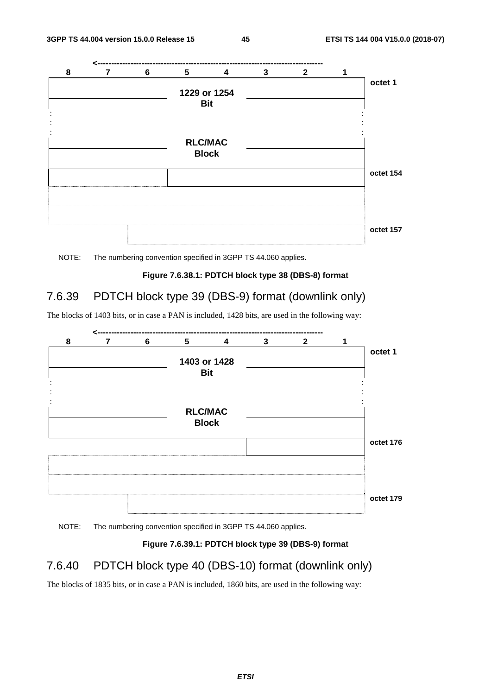![](_page_45_Figure_3.jpeg)

![](_page_45_Figure_4.jpeg)

#### **Figure 7.6.38.1: PDTCH block type 38 (DBS-8) format**

### 7.6.39 PDTCH block type 39 (DBS-9) format (downlink only)

The blocks of 1403 bits, or in case a PAN is included, 1428 bits, are used in the following way:

![](_page_45_Figure_8.jpeg)

NOTE: The numbering convention specified in 3GPP TS 44.060 applies.

#### **Figure 7.6.39.1: PDTCH block type 39 (DBS-9) format**

### 7.6.40 PDTCH block type 40 (DBS-10) format (downlink only)

The blocks of 1835 bits, or in case a PAN is included, 1860 bits, are used in the following way: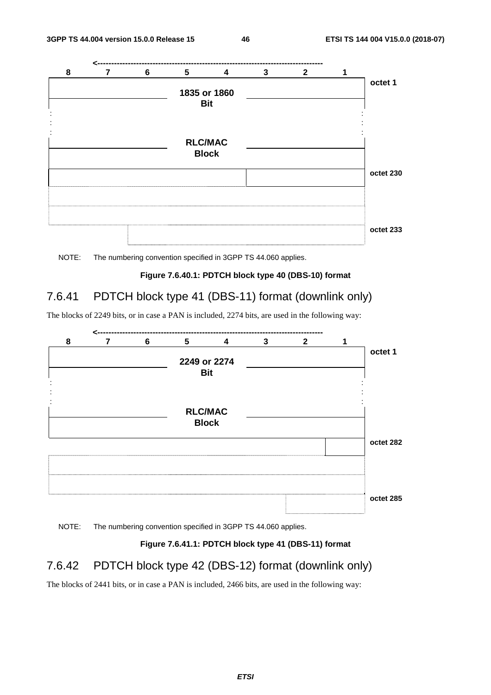![](_page_46_Figure_3.jpeg)

![](_page_46_Figure_4.jpeg)

#### **Figure 7.6.40.1: PDTCH block type 40 (DBS-10) format**

### 7.6.41 PDTCH block type 41 (DBS-11) format (downlink only)

The blocks of 2249 bits, or in case a PAN is included, 2274 bits, are used in the following way:

![](_page_46_Figure_8.jpeg)

NOTE: The numbering convention specified in 3GPP TS 44.060 applies.

#### **Figure 7.6.41.1: PDTCH block type 41 (DBS-11) format**

### 7.6.42 PDTCH block type 42 (DBS-12) format (downlink only)

The blocks of 2441 bits, or in case a PAN is included, 2466 bits, are used in the following way: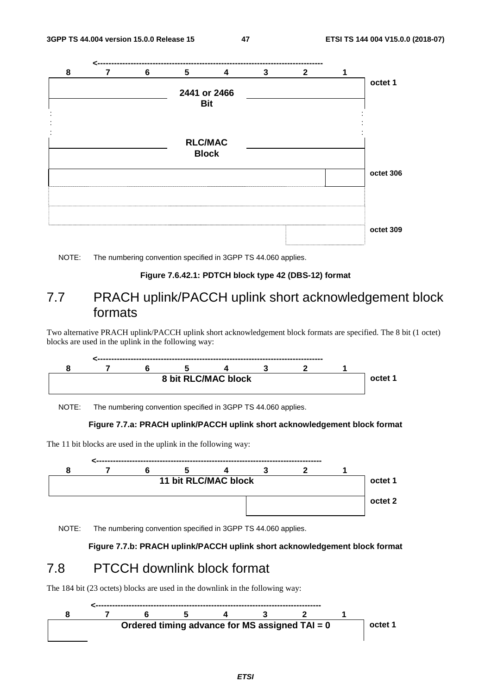![](_page_47_Figure_3.jpeg)

#### **Figure 7.6.42.1: PDTCH block type 42 (DBS-12) format**

### 7.7 PRACH uplink/PACCH uplink short acknowledgement block formats

Two alternative PRACH uplink/PACCH uplink short acknowledgement block formats are specified. The 8 bit (1 octet) blocks are used in the uplink in the following way:

![](_page_47_Figure_8.jpeg)

NOTE: The numbering convention specified in 3GPP TS 44.060 applies.

#### **Figure 7.7.a: PRACH uplink/PACCH uplink short acknowledgement block format**

The 11 bit blocks are used in the uplink in the following way:

![](_page_47_Figure_12.jpeg)

NOTE: The numbering convention specified in 3GPP TS 44.060 applies.

**Figure 7.7.b: PRACH uplink/PACCH uplink short acknowledgement block format** 

### 7.8 PTCCH downlink block format

The 184 bit (23 octets) blocks are used in the downlink in the following way:

![](_page_47_Figure_17.jpeg)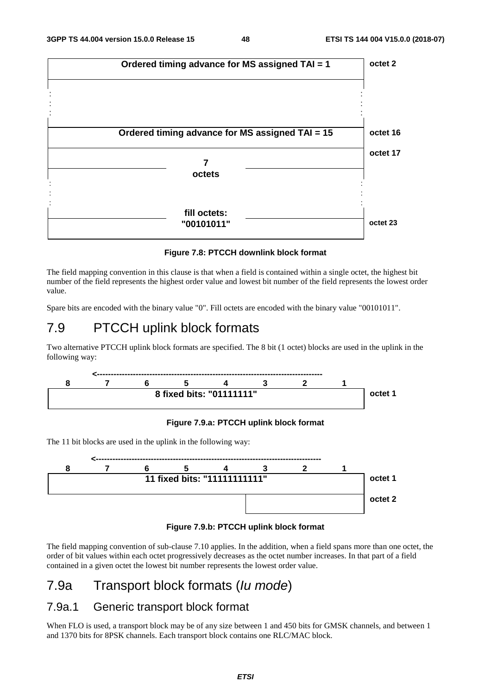![](_page_48_Figure_3.jpeg)

**Figure 7.8: PTCCH downlink block format** 

The field mapping convention in this clause is that when a field is contained within a single octet, the highest bit number of the field represents the highest order value and lowest bit number of the field represents the lowest order value.

Spare bits are encoded with the binary value "0". Fill octets are encoded with the binary value "00101011".

### 7.9 PTCCH uplink block formats

Two alternative PTCCH uplink block formats are specified. The 8 bit (1 octet) blocks are used in the uplink in the following way:

![](_page_48_Figure_9.jpeg)

#### **Figure 7.9.a: PTCCH uplink block format**

The 11 bit blocks are used in the uplink in the following way:

![](_page_48_Figure_12.jpeg)

**Figure 7.9.b: PTCCH uplink block format** 

The field mapping convention of sub-clause 7.10 applies. In the addition, when a field spans more than one octet, the order of bit values within each octet progressively decreases as the octet number increases. In that part of a field contained in a given octet the lowest bit number represents the lowest order value.

### 7.9a Transport block formats (*Iu mode*)

#### 7.9a.1 Generic transport block format

When FLO is used, a transport block may be of any size between 1 and 450 bits for GMSK channels, and between 1 and 1370 bits for 8PSK channels. Each transport block contains one RLC/MAC block.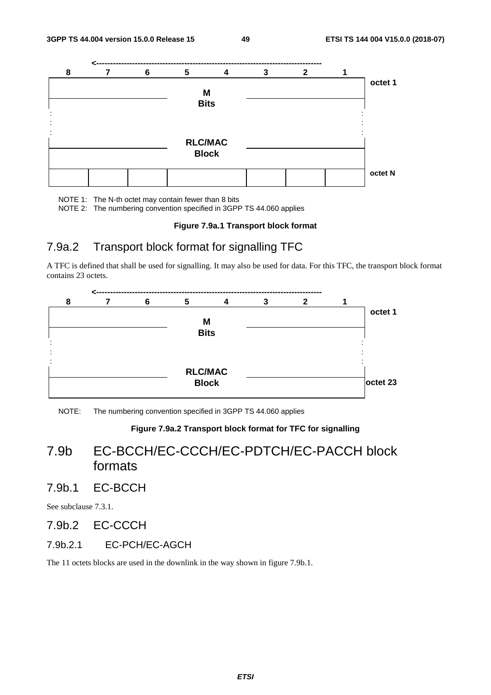![](_page_49_Figure_3.jpeg)

NOTE 1: The N-th octet may contain fewer than 8 bits

NOTE 2: The numbering convention specified in 3GPP TS 44.060 applies

#### **Figure 7.9a.1 Transport block format**

### 7.9a.2 Transport block format for signalling TFC

A TFC is defined that shall be used for signalling. It may also be used for data. For this TFC, the transport block format contains 23 octets.

![](_page_49_Figure_9.jpeg)

NOTE: The numbering convention specified in 3GPP TS 44.060 applies

#### **Figure 7.9a.2 Transport block format for TFC for signalling**

### 7.9b EC-BCCH/EC-CCCH/EC-PDTCH/EC-PACCH block formats

### 7.9b.1 EC-BCCH

See subclause 7.3.1.

### 7.9b.2 EC-CCCH

#### 7.9b.2.1 EC-PCH/EC-AGCH

The 11 octets blocks are used in the downlink in the way shown in figure 7.9b.1.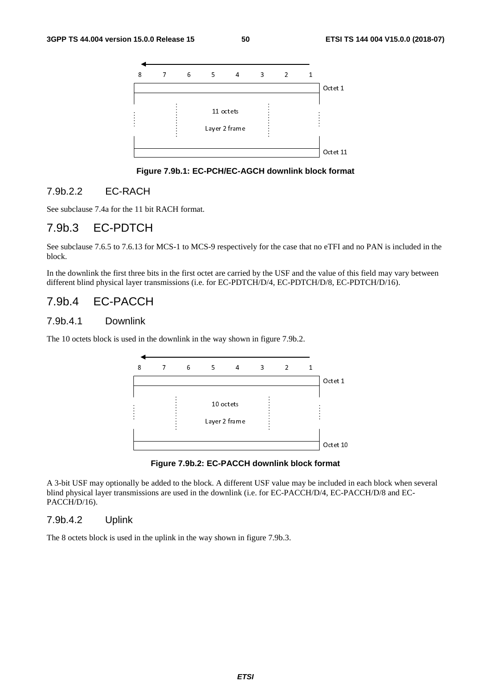![](_page_50_Figure_3.jpeg)

**Figure 7.9b.1: EC-PCH/EC-AGCH downlink block format** 

#### 7.9b.2.2 EC-RACH

See subclause 7.4a for the 11 bit RACH format.

### 7.9b.3 EC-PDTCH

See subclause 7.6.5 to 7.6.13 for MCS-1 to MCS-9 respectively for the case that no eTFI and no PAN is included in the block.

In the downlink the first three bits in the first octet are carried by the USF and the value of this field may vary between different blind physical layer transmissions (i.e. for EC-PDTCH/D/4, EC-PDTCH/D/8, EC-PDTCH/D/16).

### 7.9b.4 EC-PACCH

#### 7.9b.4.1 Downlink

The 10 octets block is used in the downlink in the way shown in figure 7.9b.2.

![](_page_50_Figure_13.jpeg)

**Figure 7.9b.2: EC-PACCH downlink block format** 

A 3-bit USF may optionally be added to the block. A different USF value may be included in each block when several blind physical layer transmissions are used in the downlink (i.e. for EC-PACCH/D/4, EC-PACCH/D/8 and EC-PACCH/D/16).

#### 7.9b.4.2 Uplink

The 8 octets block is used in the uplink in the way shown in figure 7.9b.3.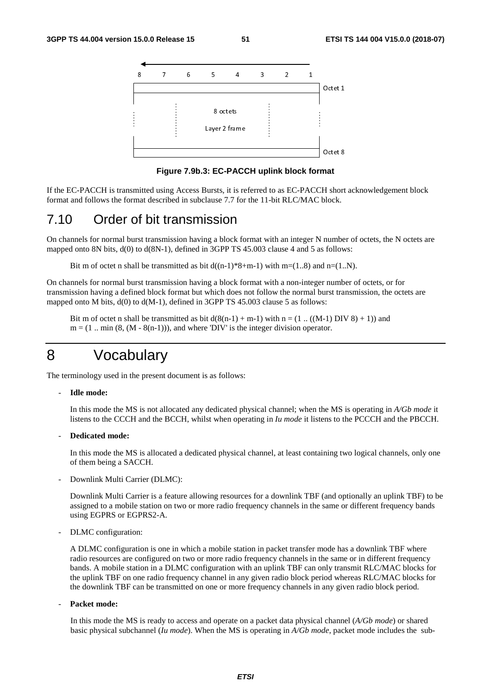![](_page_51_Figure_3.jpeg)

**Figure 7.9b.3: EC-PACCH uplink block format** 

If the EC-PACCH is transmitted using Access Bursts, it is referred to as EC-PACCH short acknowledgement block format and follows the format described in subclause 7.7 for the 11-bit RLC/MAC block.

### 7.10 Order of bit transmission

On channels for normal burst transmission having a block format with an integer N number of octets, the N octets are mapped onto 8N bits,  $d(0)$  to  $d(8N-1)$ , defined in 3GPP TS 45.003 clause 4 and 5 as follows:

Bit m of octet n shall be transmitted as bit  $d((n-1)*8+m-1)$  with m=(1..8) and n=(1..N).

On channels for normal burst transmission having a block format with a non-integer number of octets, or for transmission having a defined block format but which does not follow the normal burst transmission, the octets are mapped onto M bits,  $d(0)$  to  $d(M-1)$ , defined in 3GPP TS 45.003 clause 5 as follows:

Bit m of octet n shall be transmitted as bit  $d(8(n-1) + m-1)$  with  $n = (1 \dots ((M-1) DIV 8) + 1)$  and  $m = (1 \dots min (8, (M - 8(n-1))),$  and where 'DIV' is the integer division operator.

### 8 Vocabulary

The terminology used in the present document is as follows:

#### - **Idle mode:**

 In this mode the MS is not allocated any dedicated physical channel; when the MS is operating in *A/Gb mode* it listens to the CCCH and the BCCH, whilst when operating in *Iu mode* it listens to the PCCCH and the PBCCH.

- **Dedicated mode:** 

 In this mode the MS is allocated a dedicated physical channel, at least containing two logical channels, only one of them being a SACCH.

Downlink Multi Carrier (DLMC):

 Downlink Multi Carrier is a feature allowing resources for a downlink TBF (and optionally an uplink TBF) to be assigned to a mobile station on two or more radio frequency channels in the same or different frequency bands using EGPRS or EGPRS2-A.

DLMC configuration:

 A DLMC configuration is one in which a mobile station in packet transfer mode has a downlink TBF where radio resources are configured on two or more radio frequency channels in the same or in different frequency bands. A mobile station in a DLMC configuration with an uplink TBF can only transmit RLC/MAC blocks for the uplink TBF on one radio frequency channel in any given radio block period whereas RLC/MAC blocks for the downlink TBF can be transmitted on one or more frequency channels in any given radio block period.

Packet mode:

 In this mode the MS is ready to access and operate on a packet data physical channel (*A/Gb mode*) or shared basic physical subchannel (*Iu mode*). When the MS is operating in *A/Gb mode*, packet mode includes the sub-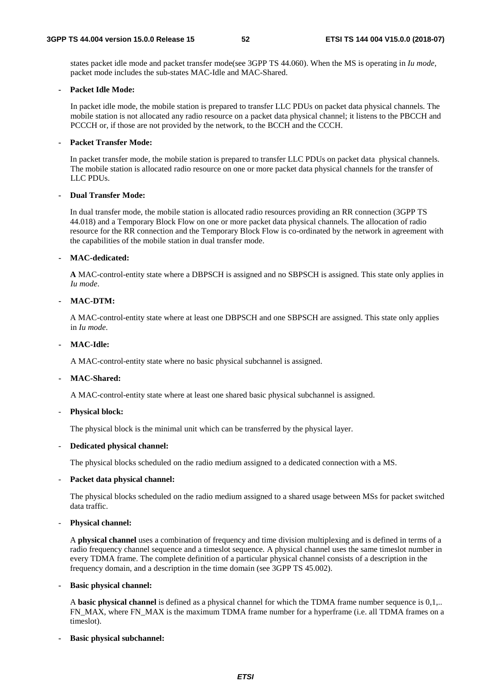states packet idle mode and packet transfer mode(see 3GPP TS 44.060). When the MS is operating in *Iu mode,* packet mode includes the sub-states MAC-Idle and MAC-Shared.

#### **- Packet Idle Mode:**

 In packet idle mode, the mobile station is prepared to transfer LLC PDUs on packet data physical channels. The mobile station is not allocated any radio resource on a packet data physical channel; it listens to the PBCCH and PCCCH or, if those are not provided by the network, to the BCCH and the CCCH.

#### **- Packet Transfer Mode:**

In packet transfer mode, the mobile station is prepared to transfer LLC PDUs on packet data physical channels. The mobile station is allocated radio resource on one or more packet data physical channels for the transfer of LLC PDUs.

#### **- Dual Transfer Mode:**

 In dual transfer mode, the mobile station is allocated radio resources providing an RR connection (3GPP TS 44.018) and a Temporary Block Flow on one or more packet data physical channels. The allocation of radio resource for the RR connection and the Temporary Block Flow is co-ordinated by the network in agreement with the capabilities of the mobile station in dual transfer mode.

#### **- MAC-dedicated:**

**A** MAC-control-entity state where a DBPSCH is assigned and no SBPSCH is assigned. This state only applies in *Iu mode*.

#### **- MAC-DTM:**

A MAC-control-entity state where at least one DBPSCH and one SBPSCH are assigned. This state only applies in *Iu mode*.

#### **- MAC-Idle:**

A MAC-control-entity state where no basic physical subchannel is assigned.

#### **- MAC-Shared:**

A MAC-control-entity state where at least one shared basic physical subchannel is assigned.

#### - **Physical block:**

The physical block is the minimal unit which can be transferred by the physical layer.

#### - **Dedicated physical channel:**

The physical blocks scheduled on the radio medium assigned to a dedicated connection with a MS.

#### Packet data physical channel:

 The physical blocks scheduled on the radio medium assigned to a shared usage between MSs for packet switched data traffic.

#### - **Physical channel:**

A **physical channel** uses a combination of frequency and time division multiplexing and is defined in terms of a radio frequency channel sequence and a timeslot sequence. A physical channel uses the same timeslot number in every TDMA frame. The complete definition of a particular physical channel consists of a description in the frequency domain, and a description in the time domain (see 3GPP TS 45.002).

#### **- Basic physical channel:**

A **basic physical channel** is defined as a physical channel for which the TDMA frame number sequence is 0,1,.. FN\_MAX, where FN\_MAX is the maximum TDMA frame number for a hyperframe (i.e. all TDMA frames on a timeslot).

#### **- Basic physical subchannel:**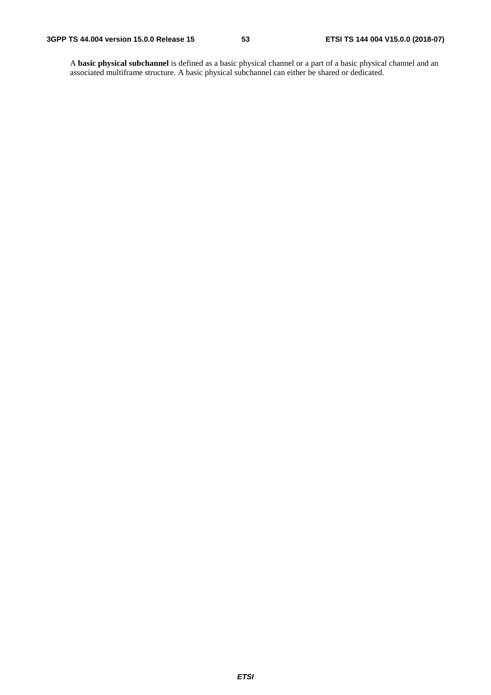A **basic physical subchannel** is defined as a basic physical channel or a part of a basic physical channel and an associated multiframe structure. A basic physical subchannel can either be shared or dedicated.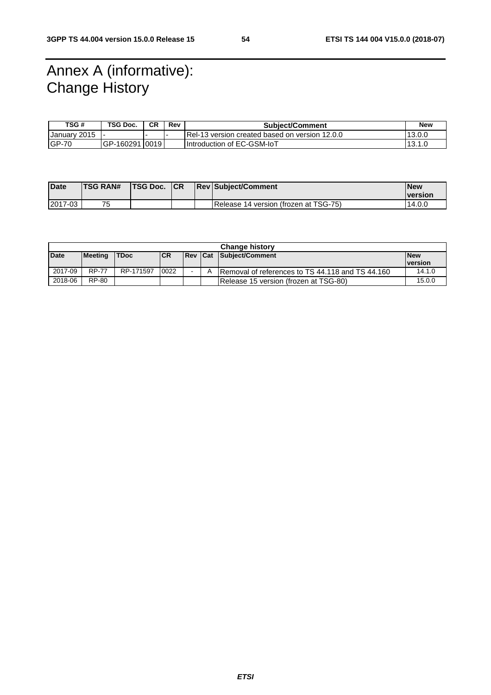# Annex A (informative): Change History

| TSG#          | TSG Doc.       | <b>CR</b> | Rev | <b>Subject/Comment</b>                          | <b>New</b> |
|---------------|----------------|-----------|-----|-------------------------------------------------|------------|
| IJanuarv 2015 |                |           |     | IRel-13 version created based on version 12.0.0 | 13.0.0     |
| $IGP-70$      | GP-160291 0019 |           |     | I Introduction of EC-GSM-IoT                    | 13.1.0     |

| <b>Date</b> | <b>TSG RAN#</b> | <b>ITSG Doc. ICR</b> |  | <b>ReviSubiect/Comment</b>            | <b>New</b>                    |
|-------------|-----------------|----------------------|--|---------------------------------------|-------------------------------|
|             |                 |                      |  |                                       | <i><u><b>Iversion</b></u></i> |
| 2017-03     | フロ              |                      |  | Release 14 version (frozen at TSG-75) | 14.0.0                        |

| <b>Change history</b> |                |             |            |                |  |                                                   |                |  |
|-----------------------|----------------|-------------|------------|----------------|--|---------------------------------------------------|----------------|--|
| <b>Date</b>           | <b>Meeting</b> | <b>TDoc</b> | <b>ICR</b> | <b>Rev Cat</b> |  | Subject/Comment                                   | <b>New</b>     |  |
|                       |                |             |            |                |  |                                                   | <b>version</b> |  |
| 2017-09               | <b>RP-77</b>   | RP-171597   | 0022       | $\blacksquare$ |  | IRemoval of references to TS 44.118 and TS 44.160 | 14.1.0         |  |
| 2018-06               | RP-80          |             |            |                |  | Release 15 version (frozen at TSG-80)             | 15.0.0         |  |